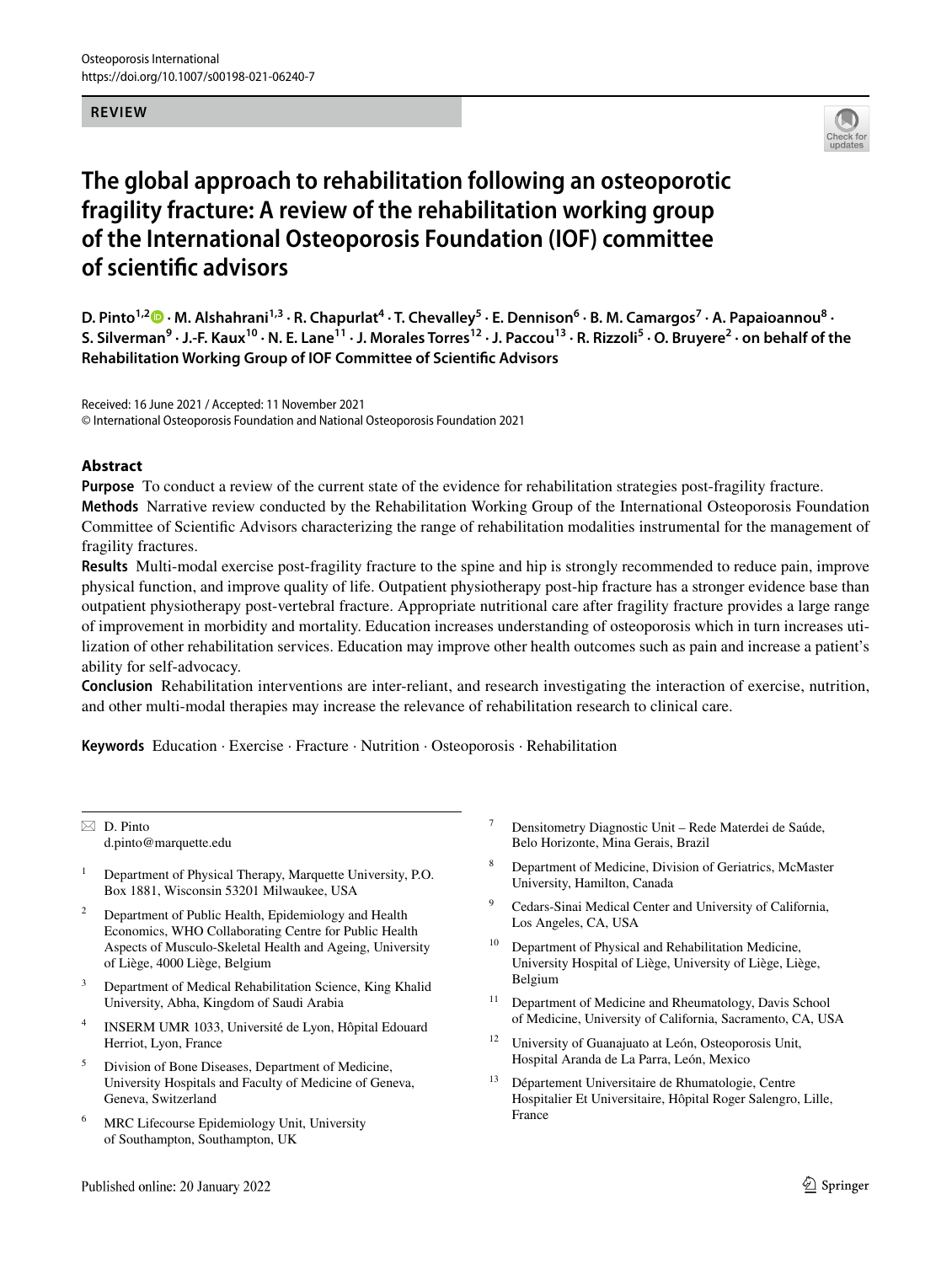#### **REVIEW**



# **The global approach to rehabilitation following an osteoporotic fragility fracture: A review of the rehabilitation working group of the International Osteoporosis Foundation (IOF) committee of scientifc advisors**

D. Pinto<sup>1,2</sup> D [·](http://orcid.org/0000-0002-5771-101X) M. Alshahrani<sup>1,3</sup> · R. Chapurlat<sup>4</sup> · T. Chevalley<sup>5</sup> · E. Dennison<sup>6</sup> · B. M. Camargos<sup>7</sup> · A. Papaioannou<sup>8</sup> · **S. Silverman<sup>9</sup> · J.‑F. Kaux10 · N. E. Lane11 · J. Morales Torres12 · J. Paccou13 · R. Rizzoli5 · O. Bruyere<sup>2</sup> · on behalf of the Rehabilitation Working Group of IOF Committee of Scientifc Advisors**

Received: 16 June 2021 / Accepted: 11 November 2021 © International Osteoporosis Foundation and National Osteoporosis Foundation 2021

## **Abstract**

**Purpose** To conduct a review of the current state of the evidence for rehabilitation strategies post-fragility fracture.

**Methods** Narrative review conducted by the Rehabilitation Working Group of the International Osteoporosis Foundation Committee of Scientifc Advisors characterizing the range of rehabilitation modalities instrumental for the management of fragility fractures.

**Results** Multi-modal exercise post-fragility fracture to the spine and hip is strongly recommended to reduce pain, improve physical function, and improve quality of life. Outpatient physiotherapy post-hip fracture has a stronger evidence base than outpatient physiotherapy post-vertebral fracture. Appropriate nutritional care after fragility fracture provides a large range of improvement in morbidity and mortality. Education increases understanding of osteoporosis which in turn increases utilization of other rehabilitation services. Education may improve other health outcomes such as pain and increase a patient's ability for self-advocacy.

**Conclusion** Rehabilitation interventions are inter-reliant, and research investigating the interaction of exercise, nutrition, and other multi-modal therapies may increase the relevance of rehabilitation research to clinical care.

**Keywords** Education · Exercise · Fracture · Nutrition · Osteoporosis · Rehabilitation

 $\boxtimes$  D. Pinto d.pinto@marquette.edu

- <sup>1</sup> Department of Physical Therapy, Marquette University, P.O. Box 1881, Wisconsin 53201 Milwaukee, USA
- <sup>2</sup> Department of Public Health, Epidemiology and Health Economics, WHO Collaborating Centre for Public Health Aspects of Musculo-Skeletal Health and Ageing, University of Liège, 4000 Liège, Belgium
- <sup>3</sup> Department of Medical Rehabilitation Science, King Khalid University, Abha, Kingdom of Saudi Arabia
- INSERM UMR 1033, Université de Lyon, Hôpital Edouard Herriot, Lyon, France
- <sup>5</sup> Division of Bone Diseases, Department of Medicine, University Hospitals and Faculty of Medicine of Geneva, Geneva, Switzerland
- <sup>6</sup> MRC Lifecourse Epidemiology Unit, University of Southampton, Southampton, UK
- <sup>7</sup> Densitometry Diagnostic Unit Rede Materdei de Saúde, Belo Horizonte, Mina Gerais, Brazil
- <sup>8</sup> Department of Medicine, Division of Geriatrics, McMaster University, Hamilton, Canada
- <sup>9</sup> Cedars-Sinai Medical Center and University of California, Los Angeles, CA, USA
- <sup>10</sup> Department of Physical and Rehabilitation Medicine, University Hospital of Liège, University of Liège, Liège, Belgium
- <sup>11</sup> Department of Medicine and Rheumatology, Davis School of Medicine, University of California, Sacramento, CA, USA
- <sup>12</sup> University of Guanajuato at León, Osteoporosis Unit, Hospital Aranda de La Parra, León, Mexico
- <sup>13</sup> Département Universitaire de Rhumatologie, Centre Hospitalier Et Universitaire, Hôpital Roger Salengro, Lille, France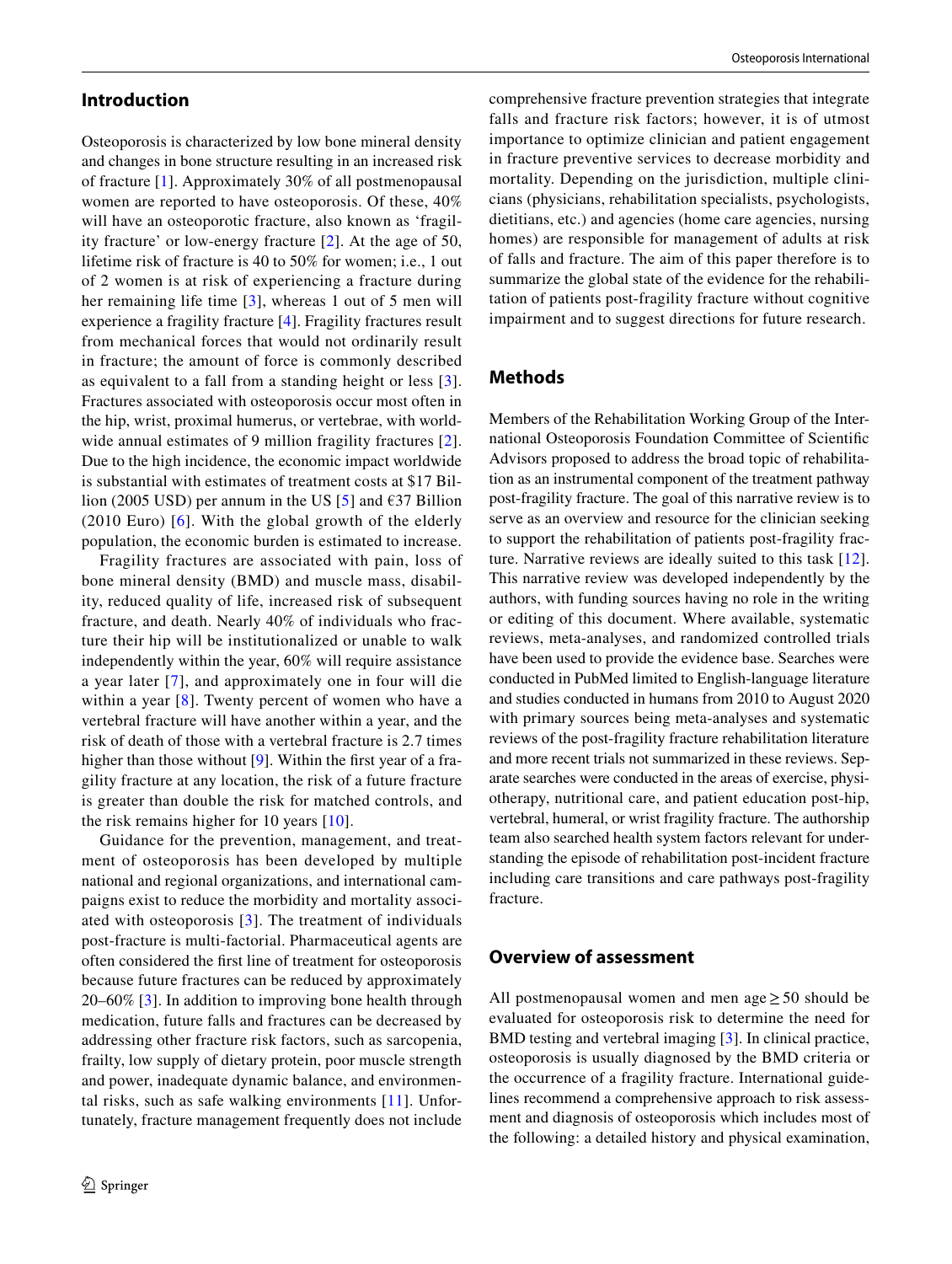## **Introduction**

Osteoporosis is characterized by low bone mineral density and changes in bone structure resulting in an increased risk of fracture [\[1](#page-10-0)]. Approximately 30% of all postmenopausal women are reported to have osteoporosis. Of these, 40% will have an osteoporotic fracture, also known as 'fragility fracture' or low-energy fracture [\[2](#page-10-1)]. At the age of 50, lifetime risk of fracture is 40 to 50% for women; i.e., 1 out of 2 women is at risk of experiencing a fracture during her remaining life time [\[3\]](#page-10-2), whereas 1 out of 5 men will experience a fragility fracture [\[4](#page-11-0)]. Fragility fractures result from mechanical forces that would not ordinarily result in fracture; the amount of force is commonly described as equivalent to a fall from a standing height or less [[3](#page-10-2)]. Fractures associated with osteoporosis occur most often in the hip, wrist, proximal humerus, or vertebrae, with world-wide annual estimates of 9 million fragility fractures [[2](#page-10-1)]. Due to the high incidence, the economic impact worldwide is substantial with estimates of treatment costs at \$17 Bil-lion (200[5](#page-11-1) USD) per annum in the US [5] and  $\epsilon$ 37 Billion (2010 Euro) [[6\]](#page-11-2). With the global growth of the elderly population, the economic burden is estimated to increase.

Fragility fractures are associated with pain, loss of bone mineral density (BMD) and muscle mass, disability, reduced quality of life, increased risk of subsequent fracture, and death. Nearly 40% of individuals who fracture their hip will be institutionalized or unable to walk independently within the year, 60% will require assistance a year later [[7](#page-11-3)], and approximately one in four will die within a year [\[8\]](#page-11-4). Twenty percent of women who have a vertebral fracture will have another within a year, and the risk of death of those with a vertebral fracture is 2.7 times higher than those without [\[9](#page-11-5)]. Within the first year of a fragility fracture at any location, the risk of a future fracture is greater than double the risk for matched controls, and the risk remains higher for 10 years [[10](#page-11-6)].

Guidance for the prevention, management, and treatment of osteoporosis has been developed by multiple national and regional organizations, and international campaigns exist to reduce the morbidity and mortality associated with osteoporosis [[3](#page-10-2)]. The treatment of individuals post-fracture is multi-factorial. Pharmaceutical agents are often considered the frst line of treatment for osteoporosis because future fractures can be reduced by approximately 20–60% [\[3](#page-10-2)]. In addition to improving bone health through medication, future falls and fractures can be decreased by addressing other fracture risk factors, such as sarcopenia, frailty, low supply of dietary protein, poor muscle strength and power, inadequate dynamic balance, and environmental risks, such as safe walking environments [\[11\]](#page-11-7). Unfortunately, fracture management frequently does not include

comprehensive fracture prevention strategies that integrate falls and fracture risk factors; however, it is of utmost importance to optimize clinician and patient engagement in fracture preventive services to decrease morbidity and mortality. Depending on the jurisdiction, multiple clinicians (physicians, rehabilitation specialists, psychologists, dietitians, etc.) and agencies (home care agencies, nursing homes) are responsible for management of adults at risk of falls and fracture. The aim of this paper therefore is to summarize the global state of the evidence for the rehabilitation of patients post-fragility fracture without cognitive impairment and to suggest directions for future research.

# **Methods**

Members of the Rehabilitation Working Group of the International Osteoporosis Foundation Committee of Scientifc Advisors proposed to address the broad topic of rehabilitation as an instrumental component of the treatment pathway post-fragility fracture. The goal of this narrative review is to serve as an overview and resource for the clinician seeking to support the rehabilitation of patients post-fragility fracture. Narrative reviews are ideally suited to this task [\[12](#page-11-8)]. This narrative review was developed independently by the authors, with funding sources having no role in the writing or editing of this document. Where available, systematic reviews, meta-analyses, and randomized controlled trials have been used to provide the evidence base. Searches were conducted in PubMed limited to English-language literature and studies conducted in humans from 2010 to August 2020 with primary sources being meta-analyses and systematic reviews of the post-fragility fracture rehabilitation literature and more recent trials not summarized in these reviews. Separate searches were conducted in the areas of exercise, physiotherapy, nutritional care, and patient education post-hip, vertebral, humeral, or wrist fragility fracture. The authorship team also searched health system factors relevant for understanding the episode of rehabilitation post-incident fracture including care transitions and care pathways post-fragility fracture.

## **Overview of assessment**

All postmenopausal women and men age  $\geq$  50 should be evaluated for osteoporosis risk to determine the need for BMD testing and vertebral imaging [[3](#page-10-2)]. In clinical practice, osteoporosis is usually diagnosed by the BMD criteria or the occurrence of a fragility fracture. International guidelines recommend a comprehensive approach to risk assessment and diagnosis of osteoporosis which includes most of the following: a detailed history and physical examination,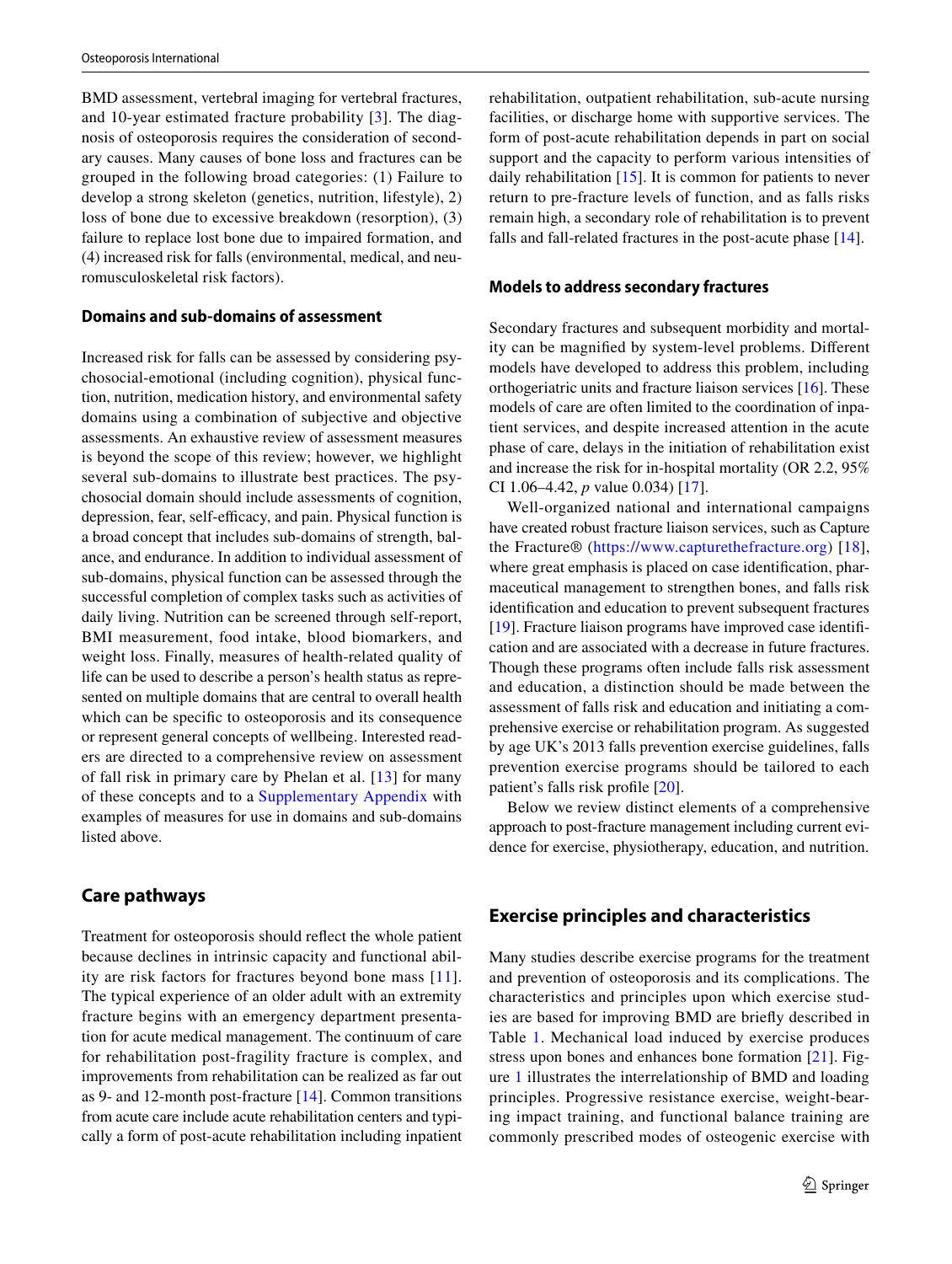BMD assessment, vertebral imaging for vertebral fractures, and 10-year estimated fracture probability [\[3](#page-10-2)]. The diagnosis of osteoporosis requires the consideration of secondary causes. Many causes of bone loss and fractures can be grouped in the following broad categories: (1) Failure to develop a strong skeleton (genetics, nutrition, lifestyle), 2) loss of bone due to excessive breakdown (resorption), (3) failure to replace lost bone due to impaired formation, and (4) increased risk for falls (environmental, medical, and neuromusculoskeletal risk factors).

## **Domains and sub‑domains of assessment**

Increased risk for falls can be assessed by considering psychosocial-emotional (including cognition), physical function, nutrition, medication history, and environmental safety domains using a combination of subjective and objective assessments. An exhaustive review of assessment measures is beyond the scope of this review; however, we highlight several sub-domains to illustrate best practices. The psychosocial domain should include assessments of cognition, depression, fear, self-efficacy, and pain. Physical function is a broad concept that includes sub-domains of strength, balance, and endurance. In addition to individual assessment of sub-domains, physical function can be assessed through the successful completion of complex tasks such as activities of daily living. Nutrition can be screened through self-report, BMI measurement, food intake, blood biomarkers, and weight loss. Finally, measures of health-related quality of life can be used to describe a person's health status as represented on multiple domains that are central to overall health which can be specifc to osteoporosis and its consequence or represent general concepts of wellbeing. Interested readers are directed to a comprehensive review on assessment of fall risk in primary care by Phelan et al. [\[13\]](#page-11-9) for many of these concepts and to a Supplementary Appendix with examples of measures for use in domains and sub-domains listed above.

# **Care pathways**

Treatment for osteoporosis should refect the whole patient because declines in intrinsic capacity and functional ability are risk factors for fractures beyond bone mass [[11](#page-11-7)]. The typical experience of an older adult with an extremity fracture begins with an emergency department presentation for acute medical management. The continuum of care for rehabilitation post-fragility fracture is complex, and improvements from rehabilitation can be realized as far out as 9- and 12-month post-fracture [[14\]](#page-11-10). Common transitions from acute care include acute rehabilitation centers and typically a form of post-acute rehabilitation including inpatient rehabilitation, outpatient rehabilitation, sub-acute nursing facilities, or discharge home with supportive services. The form of post-acute rehabilitation depends in part on social support and the capacity to perform various intensities of daily rehabilitation [[15\]](#page-11-11). It is common for patients to never return to pre-fracture levels of function, and as falls risks remain high, a secondary role of rehabilitation is to prevent falls and fall-related fractures in the post-acute phase [\[14](#page-11-10)].

## **Models to address secondary fractures**

Secondary fractures and subsequent morbidity and mortality can be magnifed by system-level problems. Diferent models have developed to address this problem, including orthogeriatric units and fracture liaison services [\[16](#page-11-12)]. These models of care are often limited to the coordination of inpatient services, and despite increased attention in the acute phase of care, delays in the initiation of rehabilitation exist and increase the risk for in-hospital mortality (OR 2.2, 95% CI 1.06–4.42, *p* value 0.034) [[17\]](#page-11-13).

Well-organized national and international campaigns have created robust fracture liaison services, such as Capture the Fracture® [\(https://www.capturethefracture.org\)](https://www.capturethefracture.org) [[18](#page-11-14)], where great emphasis is placed on case identifcation, pharmaceutical management to strengthen bones, and falls risk identifcation and education to prevent subsequent fractures [\[19](#page-11-15)]. Fracture liaison programs have improved case identifcation and are associated with a decrease in future fractures. Though these programs often include falls risk assessment and education, a distinction should be made between the assessment of falls risk and education and initiating a comprehensive exercise or rehabilitation program. As suggested by age UK's 2013 falls prevention exercise guidelines, falls prevention exercise programs should be tailored to each patient's falls risk profle [\[20](#page-11-16)].

Below we review distinct elements of a comprehensive approach to post-fracture management including current evidence for exercise, physiotherapy, education, and nutrition.

# **Exercise principles and characteristics**

Many studies describe exercise programs for the treatment and prevention of osteoporosis and its complications. The characteristics and principles upon which exercise studies are based for improving BMD are briefy described in Table [1](#page-3-0). Mechanical load induced by exercise produces stress upon bones and enhances bone formation [\[21\]](#page-11-17). Figure [1](#page-3-1) illustrates the interrelationship of BMD and loading principles. Progressive resistance exercise, weight-bearing impact training, and functional balance training are commonly prescribed modes of osteogenic exercise with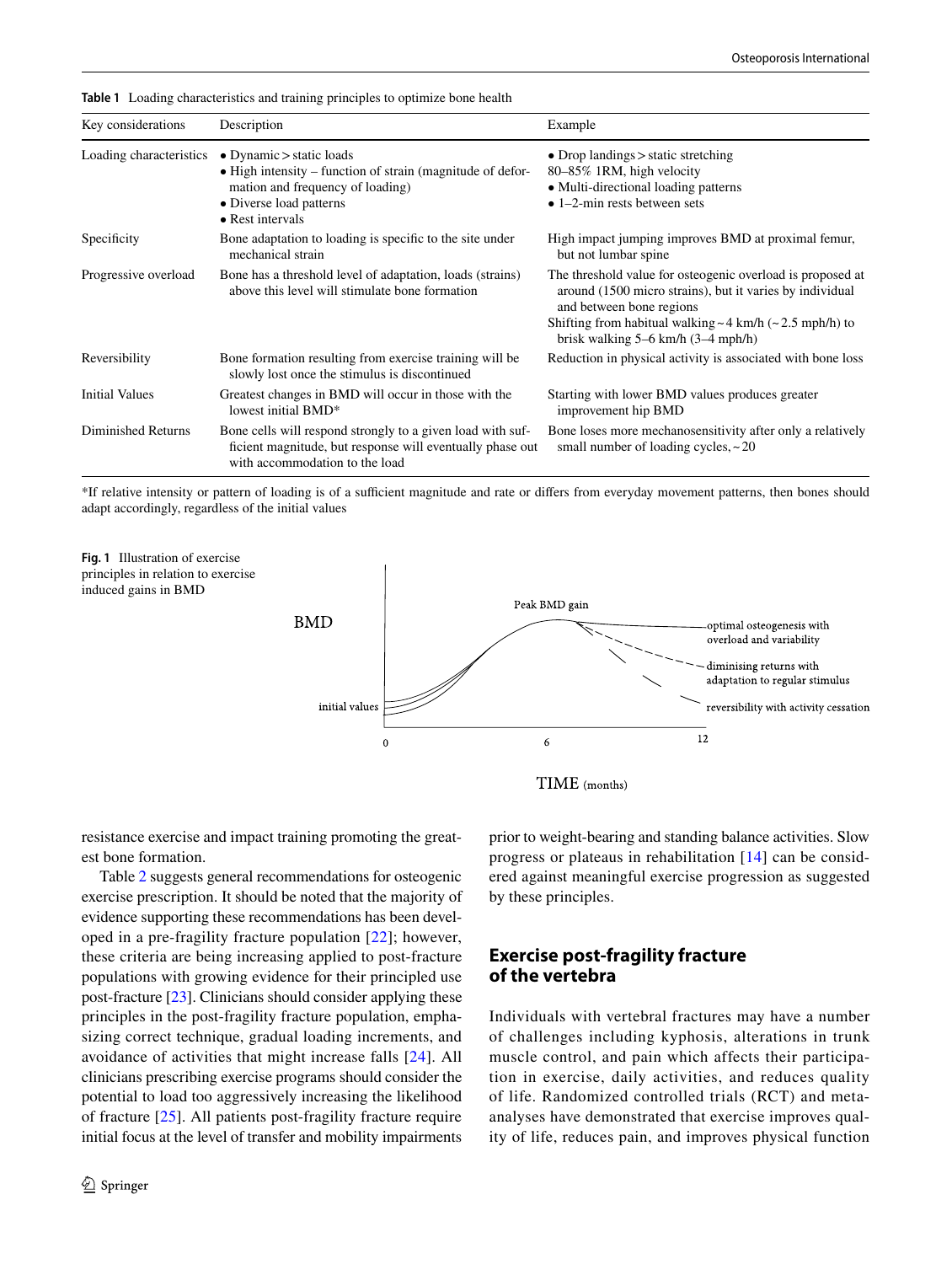| Key considerations                                                                                                                  | Description                                                                                                                                                                                 | Example                                                                                                                                                                                                                                                             |  |  |
|-------------------------------------------------------------------------------------------------------------------------------------|---------------------------------------------------------------------------------------------------------------------------------------------------------------------------------------------|---------------------------------------------------------------------------------------------------------------------------------------------------------------------------------------------------------------------------------------------------------------------|--|--|
| Loading characteristics                                                                                                             | $\bullet$ Dynamic $>$ static loads<br>$\bullet$ High intensity – function of strain (magnitude of defor-<br>mation and frequency of loading)<br>• Diverse load patterns<br>• Rest intervals | • Drop landings $>$ static stretching<br>80-85% 1RM, high velocity<br>• Multi-directional loading patterns<br>$\bullet$ 1–2-min rests between sets                                                                                                                  |  |  |
| Specificity                                                                                                                         | Bone adaptation to loading is specific to the site under<br>mechanical strain                                                                                                               | High impact jumping improves BMD at proximal femur,<br>but not lumbar spine                                                                                                                                                                                         |  |  |
| Progressive overload<br>Bone has a threshold level of adaptation, loads (strains)<br>above this level will stimulate bone formation |                                                                                                                                                                                             | The threshold value for osteogenic overload is proposed at<br>around (1500 micro strains), but it varies by individual<br>and between bone regions<br>Shifting from habitual walking $\sim$ 4 km/h ( $\sim$ 2.5 mph/h) to<br>brisk walking $5-6$ km/h $(3-4$ mph/h) |  |  |
| Reversibility<br>Bone formation resulting from exercise training will be<br>slowly lost once the stimulus is discontinued           |                                                                                                                                                                                             | Reduction in physical activity is associated with bone loss                                                                                                                                                                                                         |  |  |
| <b>Initial Values</b>                                                                                                               | Greatest changes in BMD will occur in those with the<br>lowest initial BMD*                                                                                                                 | Starting with lower BMD values produces greater<br>improvement hip BMD                                                                                                                                                                                              |  |  |
| Diminished Returns                                                                                                                  | Bone cells will respond strongly to a given load with suf-<br>ficient magnitude, but response will eventually phase out<br>with accommodation to the load                                   | Bone loses more mechanosensitivity after only a relatively<br>small number of loading cycles, $\sim$ 20                                                                                                                                                             |  |  |

<span id="page-3-0"></span>**Table 1** Loading characteristics and training principles to optimize bone health

\*If relative intensity or pattern of loading is of a sufcient magnitude and rate or difers from everyday movement patterns, then bones should adapt accordingly, regardless of the initial values

<span id="page-3-1"></span>

resistance exercise and impact training promoting the greatest bone formation.

Table [2](#page-4-0) suggests general recommendations for osteogenic exercise prescription. It should be noted that the majority of evidence supporting these recommendations has been developed in a pre-fragility fracture population [\[22\]](#page-11-18); however, these criteria are being increasing applied to post-fracture populations with growing evidence for their principled use post-fracture [\[23](#page-11-19)]. Clinicians should consider applying these principles in the post-fragility fracture population, emphasizing correct technique, gradual loading increments, and avoidance of activities that might increase falls [\[24\]](#page-11-20). All clinicians prescribing exercise programs should consider the potential to load too aggressively increasing the likelihood of fracture [\[25](#page-11-21)]. All patients post-fragility fracture require initial focus at the level of transfer and mobility impairments prior to weight-bearing and standing balance activities. Slow progress or plateaus in rehabilitation [[14\]](#page-11-10) can be considered against meaningful exercise progression as suggested by these principles.

# **Exercise post‑fragility fracture of the vertebra**

Individuals with vertebral fractures may have a number of challenges including kyphosis, alterations in trunk muscle control, and pain which affects their participation in exercise, daily activities, and reduces quality of life. Randomized controlled trials (RCT) and metaanalyses have demonstrated that exercise improves quality of life, reduces pain, and improves physical function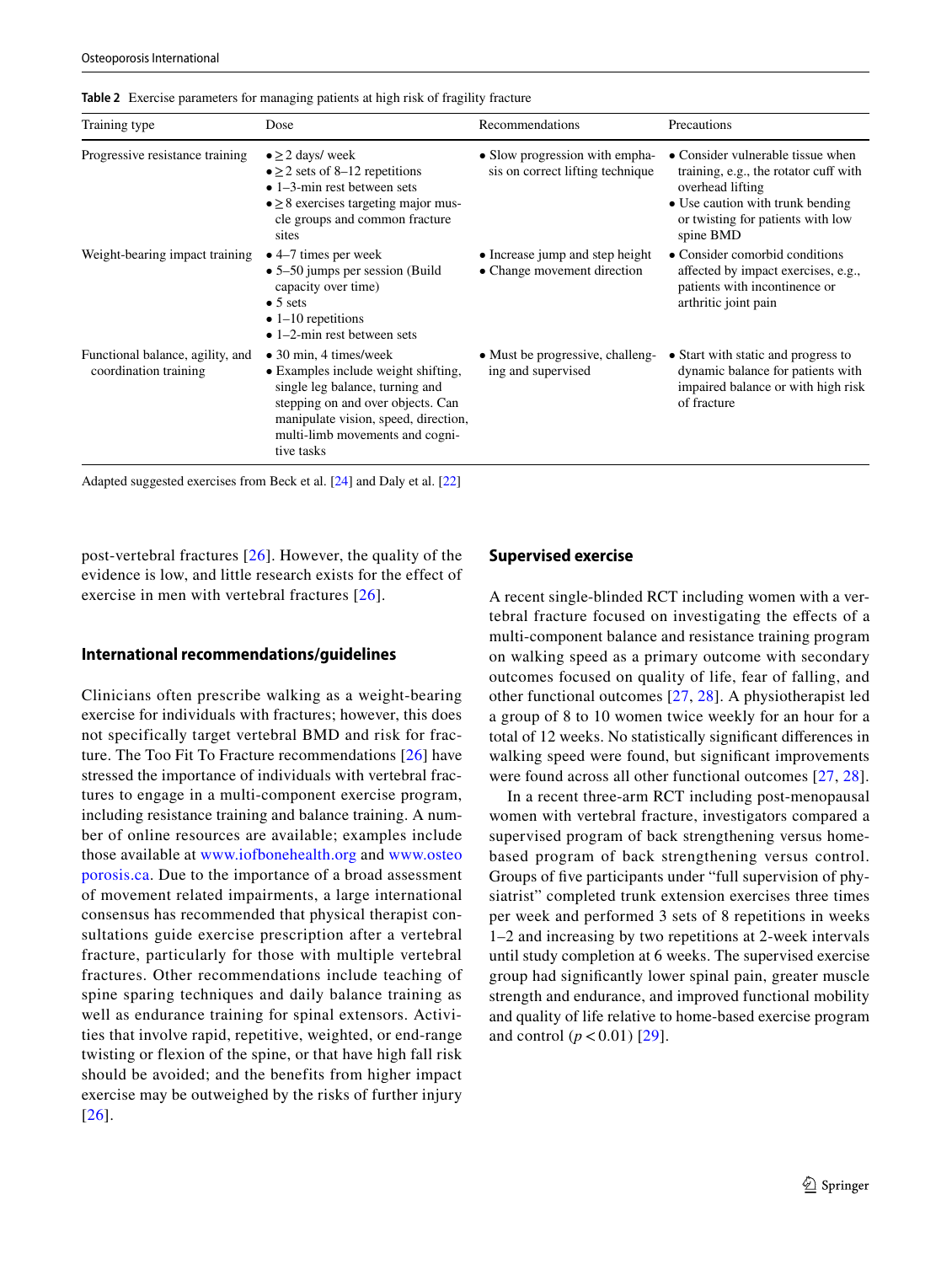| Training type                                             | Dose                                                                                                                                                                                                                                   | Recommendations                                                    | Precautions                                                                                                                                                                          |
|-----------------------------------------------------------|----------------------------------------------------------------------------------------------------------------------------------------------------------------------------------------------------------------------------------------|--------------------------------------------------------------------|--------------------------------------------------------------------------------------------------------------------------------------------------------------------------------------|
| Progressive resistance training                           | $\bullet \geq 2$ days/ week<br>$\bullet \geq 2$ sets of 8–12 repetitions<br>$\bullet$ 1–3-min rest between sets<br>$\bullet \geq 8$ exercises targeting major mus-<br>cle groups and common fracture<br>sites                          | • Slow progression with empha-<br>sis on correct lifting technique | • Consider vulnerable tissue when<br>training, e.g., the rotator cuff with<br>overhead lifting<br>• Use caution with trunk bending<br>or twisting for patients with low<br>spine BMD |
| Weight-bearing impact training                            | $\bullet$ 4–7 times per week<br>$\bullet$ 5–50 jumps per session (Build)<br>capacity over time)<br>$\bullet$ 5 sets<br>$\bullet$ 1–10 repetitions<br>$\bullet$ 1–2-min rest between sets                                               | • Increase jump and step height<br>• Change movement direction     | • Consider comorbid conditions<br>affected by impact exercises, e.g.,<br>patients with incontinence or<br>arthritic joint pain                                                       |
| Functional balance, agility, and<br>coordination training | $\bullet$ 30 min, 4 times/week<br>• Examples include weight shifting,<br>single leg balance, turning and<br>stepping on and over objects. Can<br>manipulate vision, speed, direction,<br>multi-limb movements and cogni-<br>tive tasks | • Must be progressive, challeng-<br>ing and supervised             | • Start with static and progress to<br>dynamic balance for patients with<br>impaired balance or with high risk<br>of fracture                                                        |

<span id="page-4-0"></span>**Table 2** Exercise parameters for managing patients at high risk of fragility fracture

Adapted suggested exercises from Beck et al. [[24](#page-11-20)] and Daly et al. [\[22\]](#page-11-18)

post-vertebral fractures [[26](#page-11-22)]. However, the quality of the evidence is low, and little research exists for the effect of exercise in men with vertebral fractures [[26](#page-11-22)].

#### **International recommendations/guidelines**

Clinicians often prescribe walking as a weight-bearing exercise for individuals with fractures; however, this does not specifically target vertebral BMD and risk for fracture. The Too Fit To Fracture recommendations [[26](#page-11-22)] have stressed the importance of individuals with vertebral fractures to engage in a multi-component exercise program, including resistance training and balance training. A number of online resources are available; examples include those available at [www.iofbonehealth.org](http://www.iofbonehealth.org) and [www.osteo](http://www.osteoporosis.ca) [porosis.ca.](http://www.osteoporosis.ca) Due to the importance of a broad assessment of movement related impairments, a large international consensus has recommended that physical therapist consultations guide exercise prescription after a vertebral fracture, particularly for those with multiple vertebral fractures. Other recommendations include teaching of spine sparing techniques and daily balance training as well as endurance training for spinal extensors. Activities that involve rapid, repetitive, weighted, or end-range twisting or flexion of the spine, or that have high fall risk should be avoided; and the benefits from higher impact exercise may be outweighed by the risks of further injury [[26](#page-11-22)].

#### **Supervised exercise**

A recent single-blinded RCT including women with a vertebral fracture focused on investigating the efects of a multi-component balance and resistance training program on walking speed as a primary outcome with secondary outcomes focused on quality of life, fear of falling, and other functional outcomes [[27](#page-11-23), [28\]](#page-11-24). A physiotherapist led a group of 8 to 10 women twice weekly for an hour for a total of 12 weeks. No statistically signifcant diferences in walking speed were found, but signifcant improvements were found across all other functional outcomes [[27](#page-11-23), [28](#page-11-24)].

In a recent three-arm RCT including post-menopausal women with vertebral fracture, investigators compared a supervised program of back strengthening versus homebased program of back strengthening versus control. Groups of five participants under "full supervision of physiatrist" completed trunk extension exercises three times per week and performed 3 sets of 8 repetitions in weeks 1–2 and increasing by two repetitions at 2-week intervals until study completion at 6 weeks. The supervised exercise group had signifcantly lower spinal pain, greater muscle strength and endurance, and improved functional mobility and quality of life relative to home-based exercise program and control  $(p < 0.01)$  [\[29\]](#page-11-25).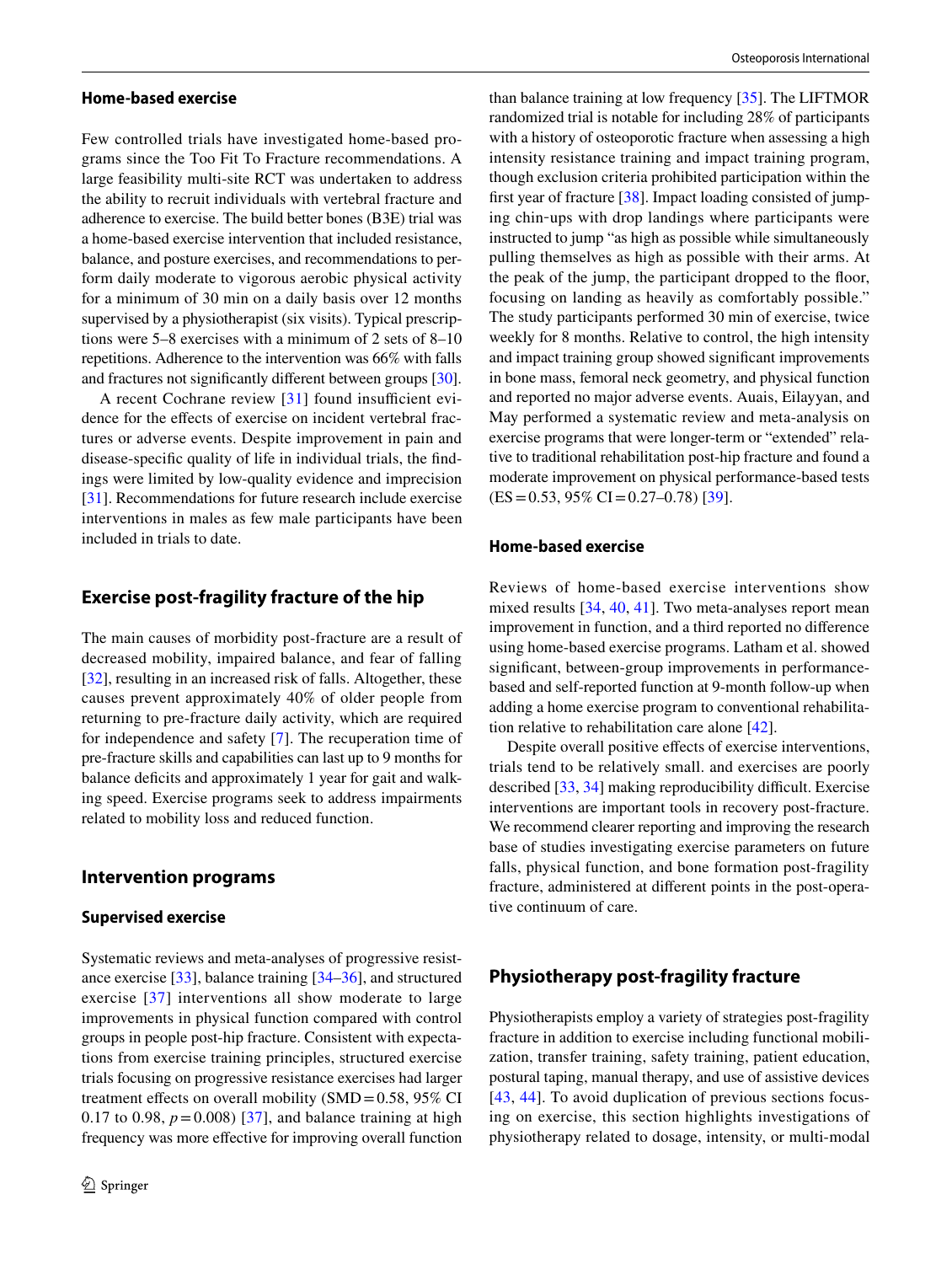#### **Home‑based exercise**

Few controlled trials have investigated home-based programs since the Too Fit To Fracture recommendations. A large feasibility multi-site RCT was undertaken to address the ability to recruit individuals with vertebral fracture and adherence to exercise. The build better bones (B3E) trial was a home-based exercise intervention that included resistance, balance, and posture exercises, and recommendations to perform daily moderate to vigorous aerobic physical activity for a minimum of 30 min on a daily basis over 12 months supervised by a physiotherapist (six visits). Typical prescriptions were 5–8 exercises with a minimum of 2 sets of 8–10 repetitions. Adherence to the intervention was 66% with falls and fractures not signifcantly diferent between groups [\[30](#page-11-26)].

A recent Cochrane review  $[31]$  found insufficient evidence for the effects of exercise on incident vertebral fractures or adverse events. Despite improvement in pain and disease-specifc quality of life in individual trials, the fndings were limited by low-quality evidence and imprecision [\[31](#page-11-27)]. Recommendations for future research include exercise interventions in males as few male participants have been included in trials to date.

## **Exercise post‑fragility fracture of the hip**

The main causes of morbidity post-fracture are a result of decreased mobility, impaired balance, and fear of falling [\[32](#page-11-28)], resulting in an increased risk of falls. Altogether, these causes prevent approximately 40% of older people from returning to pre-fracture daily activity, which are required for independence and safety [[7\]](#page-11-3). The recuperation time of pre-fracture skills and capabilities can last up to 9 months for balance deficits and approximately 1 year for gait and walking speed. Exercise programs seek to address impairments related to mobility loss and reduced function.

## **Intervention programs**

#### **Supervised exercise**

Systematic reviews and meta-analyses of progressive resistance exercise [\[33](#page-11-29)], balance training [\[34–](#page-11-30)[36\]](#page-12-0), and structured exercise [[37\]](#page-12-1) interventions all show moderate to large improvements in physical function compared with control groups in people post-hip fracture. Consistent with expectations from exercise training principles, structured exercise trials focusing on progressive resistance exercises had larger treatment effects on overall mobility (SMD= $0.58$ , 95% CI 0.17 to 0.98,  $p = 0.008$  [\[37\]](#page-12-1), and balance training at high frequency was more efective for improving overall function than balance training at low frequency [\[35](#page-12-2)]. The LIFTMOR randomized trial is notable for including 28% of participants with a history of osteoporotic fracture when assessing a high intensity resistance training and impact training program, though exclusion criteria prohibited participation within the frst year of fracture [\[38](#page-12-3)]. Impact loading consisted of jumping chin‐ups with drop landings where participants were instructed to jump "as high as possible while simultaneously pulling themselves as high as possible with their arms. At the peak of the jump, the participant dropped to the foor, focusing on landing as heavily as comfortably possible." The study participants performed 30 min of exercise, twice weekly for 8 months. Relative to control, the high intensity and impact training group showed signifcant improvements in bone mass, femoral neck geometry, and physical function and reported no major adverse events. Auais, Eilayyan, and May performed a systematic review and meta-analysis on exercise programs that were longer-term or "extended" relative to traditional rehabilitation post-hip fracture and found a moderate improvement on physical performance-based tests  $(ES=0.53, 95\% CI=0.27-0.78)$  [[39\]](#page-12-4).

#### **Home‑based exercise**

Reviews of home-based exercise interventions show mixed results [\[34](#page-11-30), [40,](#page-12-5) [41\]](#page-12-6). Two meta-analyses report mean improvement in function, and a third reported no diference using home-based exercise programs. Latham et al. showed signifcant, between-group improvements in performancebased and self-reported function at 9-month follow-up when adding a home exercise program to conventional rehabilitation relative to rehabilitation care alone [[42\]](#page-12-7).

Despite overall positive effects of exercise interventions, trials tend to be relatively small. and exercises are poorly described  $[33, 34]$  $[33, 34]$  $[33, 34]$  making reproducibility difficult. Exercise interventions are important tools in recovery post-fracture. We recommend clearer reporting and improving the research base of studies investigating exercise parameters on future falls, physical function, and bone formation post-fragility fracture, administered at diferent points in the post-operative continuum of care.

## **Physiotherapy post‑fragility fracture**

Physiotherapists employ a variety of strategies post-fragility fracture in addition to exercise including functional mobilization, transfer training, safety training, patient education, postural taping, manual therapy, and use of assistive devices [[43,](#page-12-8) [44\]](#page-12-9). To avoid duplication of previous sections focusing on exercise, this section highlights investigations of physiotherapy related to dosage, intensity, or multi-modal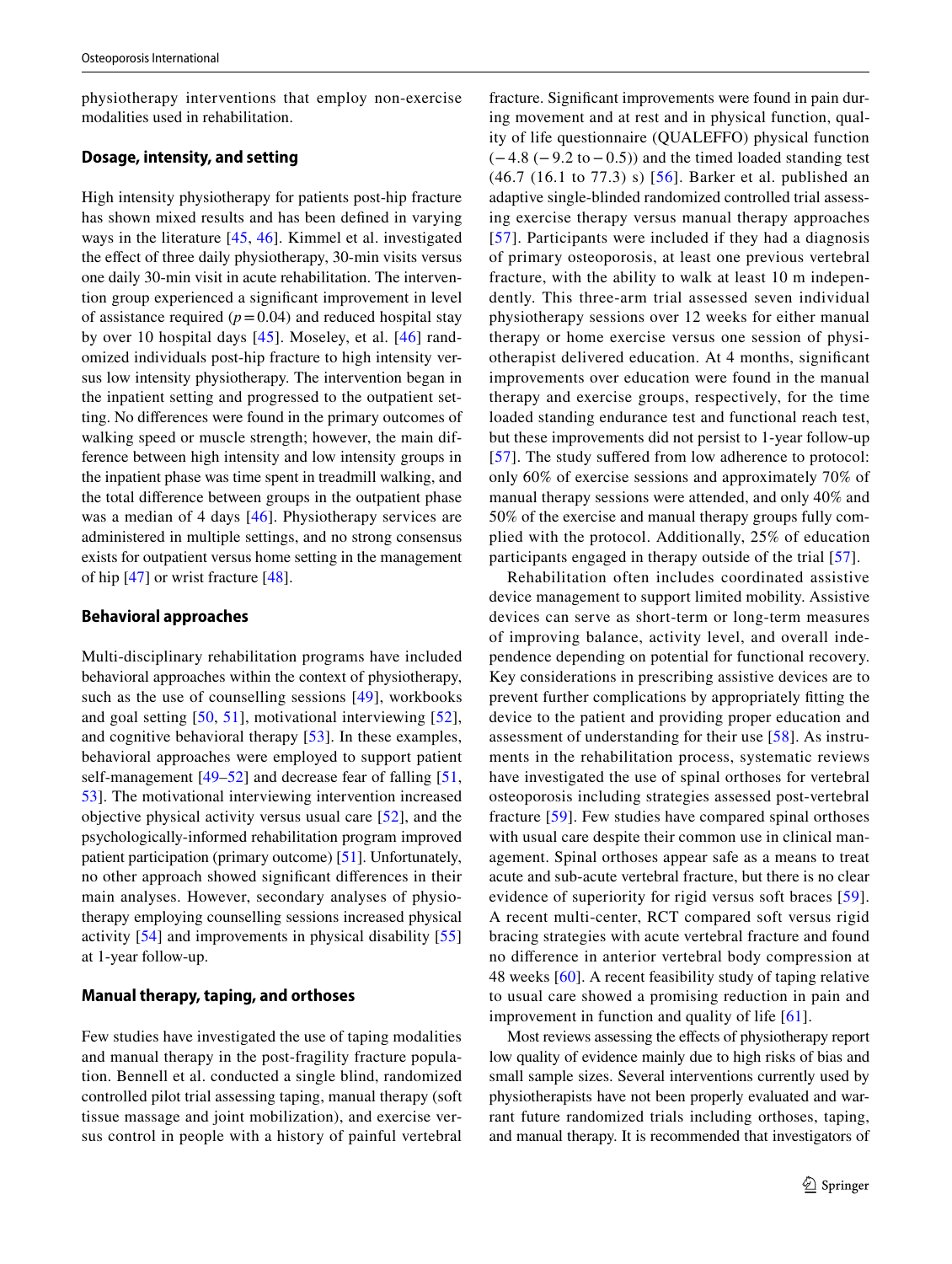physiotherapy interventions that employ non-exercise modalities used in rehabilitation.

# **Dosage, intensity, and setting**

High intensity physiotherapy for patients post-hip fracture has shown mixed results and has been defned in varying ways in the literature [[45](#page-12-10), [46](#page-12-11)]. Kimmel et al. investigated the effect of three daily physiotherapy, 30-min visits versus one daily 30-min visit in acute rehabilitation. The intervention group experienced a signifcant improvement in level of assistance required  $(p=0.04)$  and reduced hospital stay by over 10 hospital days [\[45\]](#page-12-10). Moseley, et al. [[46\]](#page-12-11) randomized individuals post-hip fracture to high intensity versus low intensity physiotherapy. The intervention began in the inpatient setting and progressed to the outpatient setting. No diferences were found in the primary outcomes of walking speed or muscle strength; however, the main difference between high intensity and low intensity groups in the inpatient phase was time spent in treadmill walking, and the total diference between groups in the outpatient phase was a median of 4 days [\[46\]](#page-12-11). Physiotherapy services are administered in multiple settings, and no strong consensus exists for outpatient versus home setting in the management of hip [[47\]](#page-12-12) or wrist fracture [\[48\]](#page-12-13).

#### **Behavioral approaches**

Multi-disciplinary rehabilitation programs have included behavioral approaches within the context of physiotherapy, such as the use of counselling sessions [\[49\]](#page-12-14), workbooks and goal setting [[50](#page-12-15), [51\]](#page-12-16), motivational interviewing [[52](#page-12-17)], and cognitive behavioral therapy [\[53](#page-12-18)]. In these examples, behavioral approaches were employed to support patient self-management [\[49](#page-12-14)[–52\]](#page-12-17) and decrease fear of falling [\[51,](#page-12-16) [53](#page-12-18)]. The motivational interviewing intervention increased objective physical activity versus usual care [[52\]](#page-12-17), and the psychologically-informed rehabilitation program improved patient participation (primary outcome) [[51\]](#page-12-16). Unfortunately, no other approach showed signifcant diferences in their main analyses. However, secondary analyses of physiotherapy employing counselling sessions increased physical activity [\[54](#page-12-19)] and improvements in physical disability [[55\]](#page-12-20) at 1-year follow-up.

## **Manual therapy, taping, and orthoses**

Few studies have investigated the use of taping modalities and manual therapy in the post-fragility fracture population. Bennell et al. conducted a single blind, randomized controlled pilot trial assessing taping, manual therapy (soft tissue massage and joint mobilization), and exercise versus control in people with a history of painful vertebral fracture. Signifcant improvements were found in pain during movement and at rest and in physical function, quality of life questionnaire (QUALEFFO) physical function  $(-4.8 (-9.2 to -0.5))$  and the timed loaded standing test (46.7 (16.1 to 77.3) s) [[56](#page-12-21)]. Barker et al. published an adaptive single-blinded randomized controlled trial assessing exercise therapy versus manual therapy approaches [[57](#page-12-22)]. Participants were included if they had a diagnosis of primary osteoporosis, at least one previous vertebral fracture, with the ability to walk at least 10 m independently. This three-arm trial assessed seven individual physiotherapy sessions over 12 weeks for either manual therapy or home exercise versus one session of physiotherapist delivered education. At 4 months, signifcant improvements over education were found in the manual therapy and exercise groups, respectively, for the time loaded standing endurance test and functional reach test, but these improvements did not persist to 1-year follow-up [[57](#page-12-22)]. The study suffered from low adherence to protocol: only 60% of exercise sessions and approximately 70% of manual therapy sessions were attended, and only 40% and 50% of the exercise and manual therapy groups fully complied with the protocol. Additionally, 25% of education participants engaged in therapy outside of the trial [\[57\]](#page-12-22).

Rehabilitation often includes coordinated assistive device management to support limited mobility. Assistive devices can serve as short-term or long-term measures of improving balance, activity level, and overall independence depending on potential for functional recovery. Key considerations in prescribing assistive devices are to prevent further complications by appropriately ftting the device to the patient and providing proper education and assessment of understanding for their use [[58](#page-12-23)]. As instruments in the rehabilitation process, systematic reviews have investigated the use of spinal orthoses for vertebral osteoporosis including strategies assessed post-vertebral fracture [[59](#page-12-24)]. Few studies have compared spinal orthoses with usual care despite their common use in clinical management. Spinal orthoses appear safe as a means to treat acute and sub-acute vertebral fracture, but there is no clear evidence of superiority for rigid versus soft braces [[59](#page-12-24)]. A recent multi-center, RCT compared soft versus rigid bracing strategies with acute vertebral fracture and found no diference in anterior vertebral body compression at 48 weeks [[60](#page-12-25)]. A recent feasibility study of taping relative to usual care showed a promising reduction in pain and improvement in function and quality of life [[61](#page-12-26)].

Most reviews assessing the effects of physiotherapy report low quality of evidence mainly due to high risks of bias and small sample sizes. Several interventions currently used by physiotherapists have not been properly evaluated and warrant future randomized trials including orthoses, taping, and manual therapy. It is recommended that investigators of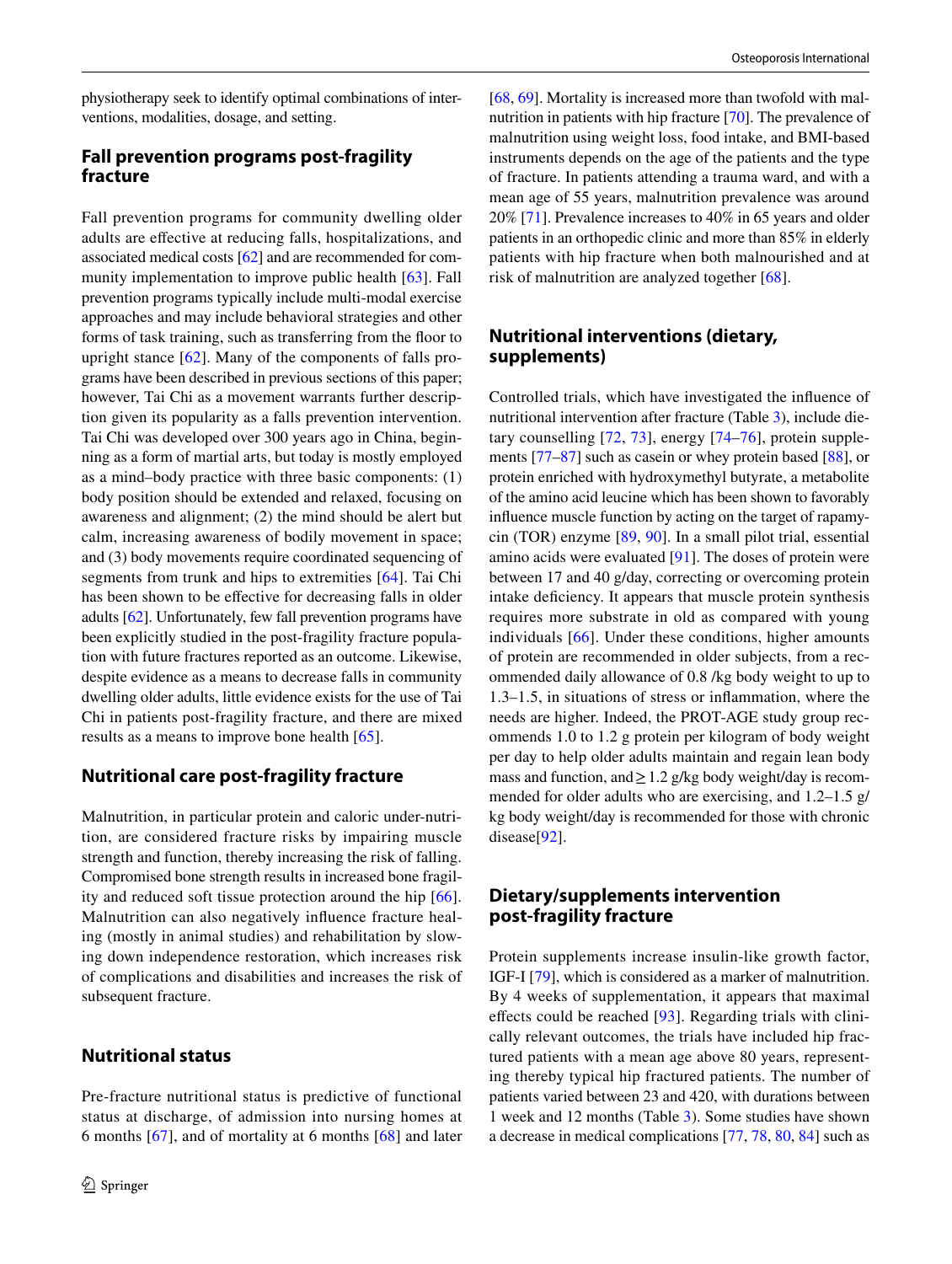physiotherapy seek to identify optimal combinations of interventions, modalities, dosage, and setting.

# **Fall prevention programs post‑fragility fracture**

Fall prevention programs for community dwelling older adults are efective at reducing falls, hospitalizations, and associated medical costs [[62\]](#page-12-27) and are recommended for com-munity implementation to improve public health [[63\]](#page-12-28). Fall prevention programs typically include multi-modal exercise approaches and may include behavioral strategies and other forms of task training, such as transferring from the floor to upright stance [[62\]](#page-12-27). Many of the components of falls programs have been described in previous sections of this paper; however, Tai Chi as a movement warrants further description given its popularity as a falls prevention intervention. Tai Chi was developed over 300 years ago in China, beginning as a form of martial arts, but today is mostly employed as a mind–body practice with three basic components: (1) body position should be extended and relaxed, focusing on awareness and alignment; (2) the mind should be alert but calm, increasing awareness of bodily movement in space; and (3) body movements require coordinated sequencing of segments from trunk and hips to extremities [\[64](#page-12-29)]. Tai Chi has been shown to be efective for decreasing falls in older adults [\[62\]](#page-12-27). Unfortunately, few fall prevention programs have been explicitly studied in the post-fragility fracture population with future fractures reported as an outcome. Likewise, despite evidence as a means to decrease falls in community dwelling older adults, little evidence exists for the use of Tai Chi in patients post-fragility fracture, and there are mixed results as a means to improve bone health [\[65\]](#page-12-30).

# **Nutritional care post‑fragility fracture**

Malnutrition, in particular protein and caloric under-nutrition, are considered fracture risks by impairing muscle strength and function, thereby increasing the risk of falling. Compromised bone strength results in increased bone fragility and reduced soft tissue protection around the hip [[66](#page-12-31)]. Malnutrition can also negatively infuence fracture healing (mostly in animal studies) and rehabilitation by slowing down independence restoration, which increases risk of complications and disabilities and increases the risk of subsequent fracture.

# **Nutritional status**

Pre-fracture nutritional status is predictive of functional status at discharge, of admission into nursing homes at 6 months [\[67](#page-12-32)], and of mortality at 6 months [\[68](#page-12-33)] and later [\[68](#page-12-33), [69](#page-12-34)]. Mortality is increased more than twofold with malnutrition in patients with hip fracture [\[70](#page-13-0)]. The prevalence of malnutrition using weight loss, food intake, and BMI-based instruments depends on the age of the patients and the type of fracture. In patients attending a trauma ward, and with a mean age of 55 years, malnutrition prevalence was around 20% [\[71](#page-13-1)]. Prevalence increases to 40% in 65 years and older patients in an orthopedic clinic and more than 85% in elderly patients with hip fracture when both malnourished and at risk of malnutrition are analyzed together [\[68](#page-12-33)].

# **Nutritional interventions (dietary, supplements)**

Controlled trials, which have investigated the infuence of nutritional intervention after fracture (Table [3\)](#page-8-0), include dietary counselling [[72](#page-13-2), [73\]](#page-13-3), energy [[74](#page-13-4)[–76](#page-13-5)], protein supplements [[77–](#page-13-6)[87\]](#page-13-7) such as casein or whey protein based [[88\]](#page-13-8), or protein enriched with hydroxymethyl butyrate, a metabolite of the amino acid leucine which has been shown to favorably infuence muscle function by acting on the target of rapamycin (TOR) enzyme [[89,](#page-13-9) [90](#page-13-10)]. In a small pilot trial, essential amino acids were evaluated [\[91](#page-13-11)]. The doses of protein were between 17 and 40 g/day, correcting or overcoming protein intake defciency. It appears that muscle protein synthesis requires more substrate in old as compared with young individuals [[66](#page-12-31)]. Under these conditions, higher amounts of protein are recommended in older subjects, from a recommended daily allowance of 0.8 /kg body weight to up to 1.3–1.5, in situations of stress or infammation, where the needs are higher. Indeed, the PROT-AGE study group recommends 1.0 to 1.2 g protein per kilogram of body weight per day to help older adults maintain and regain lean body mass and function, and  $\geq 1.2$  g/kg body weight/day is recommended for older adults who are exercising, and 1.2–1.5 g/ kg body weight/day is recommended for those with chronic disease[[92\]](#page-13-12).

# **Dietary/supplements intervention post‑fragility fracture**

Protein supplements increase insulin-like growth factor, IGF-I [[79\]](#page-13-13), which is considered as a marker of malnutrition. By 4 weeks of supplementation, it appears that maximal effects could be reached [[93\]](#page-13-14). Regarding trials with clinically relevant outcomes, the trials have included hip fractured patients with a mean age above 80 years, representing thereby typical hip fractured patients. The number of patients varied between 23 and 420, with durations between 1 week and 12 months (Table [3\)](#page-8-0). Some studies have shown a decrease in medical complications [\[77](#page-13-6), [78](#page-13-15), [80](#page-13-16), [84\]](#page-13-17) such as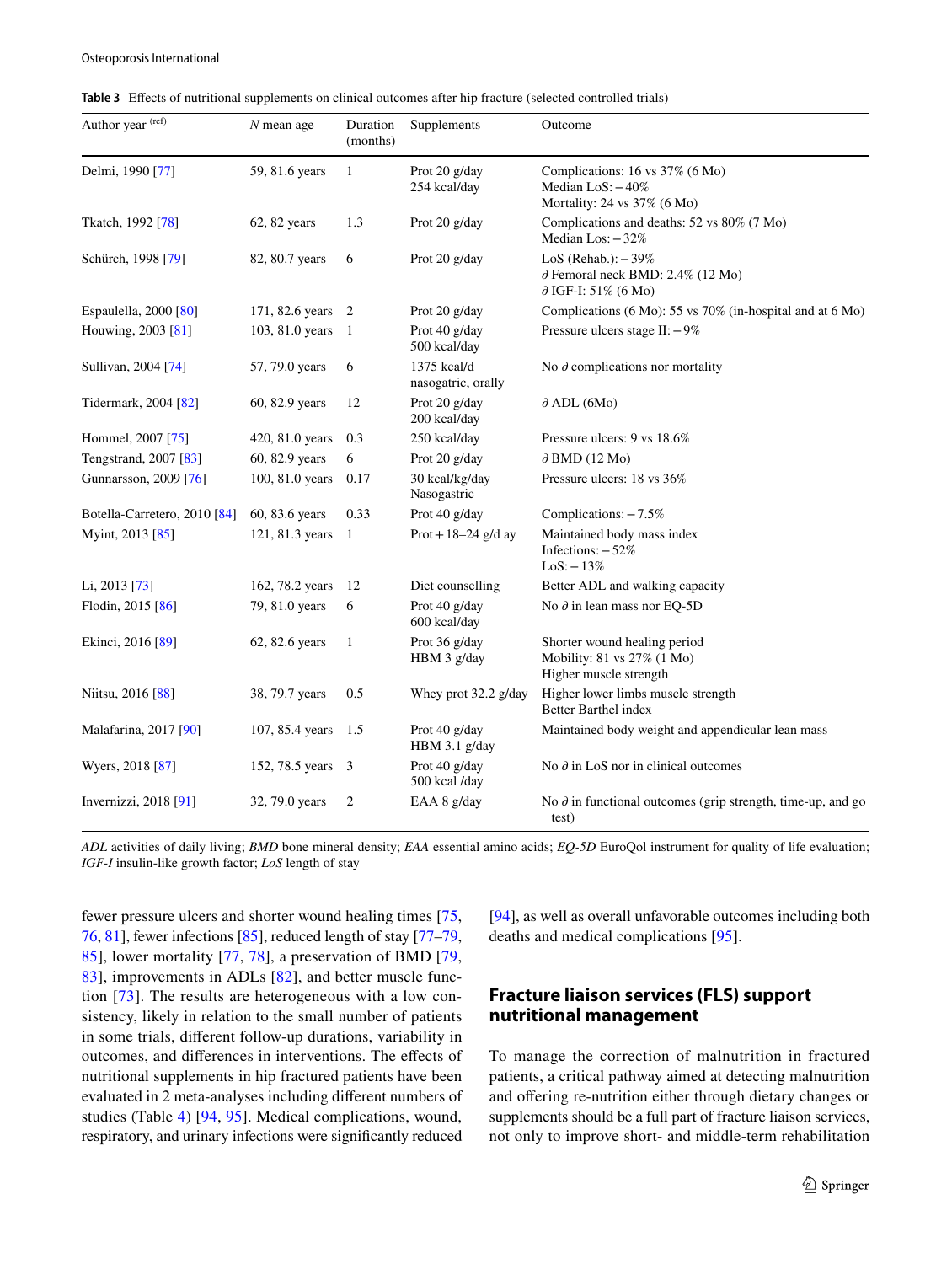<span id="page-8-0"></span>

|  | Table 3 Effects of nutritional supplements on clinical outcomes after hip fracture (selected controlled trials) |
|--|-----------------------------------------------------------------------------------------------------------------|
|--|-----------------------------------------------------------------------------------------------------------------|

| Author year (ref)                | $N$ mean age    | Duration<br>(months) | Supplements                       | Outcome<br>Complications: 16 vs 37% (6 Mo)<br>Median $LoS: -40\%$<br>Mortality: 24 vs $37\%$ (6 Mo) |  |  |
|----------------------------------|-----------------|----------------------|-----------------------------------|-----------------------------------------------------------------------------------------------------|--|--|
| Delmi, 1990 [77]                 | 59, 81.6 years  | $\mathbf{1}$         | Prot 20 g/day<br>254 kcal/day     |                                                                                                     |  |  |
| Tkatch, 1992 <sup>[78]</sup>     | 62, 82 years    | 1.3                  | Prot 20 g/day                     | Complications and deaths: 52 vs 80% (7 Mo)<br>Median Los: $-32%$                                    |  |  |
| Schürch, 1998 [79]               | 82, 80.7 years  | 6                    | Prot 20 g/day                     | LoS (Rehab.): $-39\%$<br>$\partial$ Femoral neck BMD: 2.4% (12 Mo)<br>$\partial$ IGF-I: 51% (6 Mo)  |  |  |
| Espaulella, 2000 <sup>[80]</sup> | 171, 82.6 years | $\overline{c}$       | Prot 20 g/day                     | Complications (6 Mo): 55 vs 70% (in-hospital and at 6 Mo)                                           |  |  |
| Houwing, 2003 [81]               | 103, 81.0 years | 1                    | Prot 40 g/day<br>500 kcal/day     | Pressure ulcers stage $II$ : $-9\%$                                                                 |  |  |
| Sullivan, 2004 [74]              | 57, 79.0 years  | 6                    | 1375 kcal/d<br>nasogatric, orally | No $\partial$ complications nor mortality                                                           |  |  |
| Tidermark, 2004 [82]             | 60, 82.9 years  | 12                   | Prot 20 g/day<br>200 kcal/day     | $\partial$ ADL (6Mo)                                                                                |  |  |
| Hommel, 2007 [75]                | 420, 81.0 years | 0.3                  | 250 kcal/day                      | Pressure ulcers: 9 vs 18.6%                                                                         |  |  |
| Tengstrand, 2007 [83]            | 60, 82.9 years  | 6                    | Prot 20 g/day                     | $\partial$ BMD (12 Mo)                                                                              |  |  |
| Gunnarsson, 2009 [76]            | 100, 81.0 years | 0.17                 | 30 kcal/kg/day<br>Nasogastric     | Pressure ulcers: 18 vs 36%                                                                          |  |  |
| Botella-Carretero, 2010 [84]     | 60, 83.6 years  | 0.33                 | Prot 40 g/day                     | Complications: -7.5%                                                                                |  |  |
| Myint, 2013 [85]                 | 121, 81.3 years | 1                    | Prot + $18-24$ g/d ay             | Maintained body mass index<br>Infections: $-52%$<br>$LoS: -13%$                                     |  |  |
| Li, 2013 [73]                    | 162, 78.2 years | 12                   | Diet counselling                  | Better ADL and walking capacity                                                                     |  |  |
| Flodin, 2015 [86]                | 79, 81.0 years  | 6                    | Prot 40 g/day<br>600 kcal/day     | No $\partial$ in lean mass nor EQ-5D                                                                |  |  |
| Ekinci, 2016 [89]                | 62, 82.6 years  | $\mathbf{1}$         | Prot 36 g/day<br>HBM 3 g/day      | Shorter wound healing period<br>Mobility: 81 vs 27% (1 Mo)<br>Higher muscle strength                |  |  |
| Niitsu, 2016 [88]                | 38, 79.7 years  | 0.5                  | Whey prot 32.2 g/day              | Higher lower limbs muscle strength<br>Better Barthel index                                          |  |  |
| Malafarina, 2017 [90]            | 107, 85.4 years | 1.5                  | Prot 40 g/day<br>HBM 3.1 g/day    | Maintained body weight and appendicular lean mass                                                   |  |  |
| Wyers, 2018 [87]                 | 152, 78.5 years | 3                    | Prot 40 g/day<br>500 kcal /day    | No $\partial$ in LoS nor in clinical outcomes                                                       |  |  |
| Invernizzi, 2018 [91]            | 32, 79.0 years  | $\overline{2}$       | EAA 8 g/day                       | No $\partial$ in functional outcomes (grip strength, time-up, and go<br>test)                       |  |  |

*ADL* activities of daily living; *BMD* bone mineral density; *EAA* essential amino acids; *EQ-5D* EuroQol instrument for quality of life evaluation; *IGF-I* insulin-like growth factor; *LoS* length of stay

fewer pressure ulcers and shorter wound healing times [[75,](#page-13-18) [76,](#page-13-5) [81\]](#page-13-19), fewer infections [[85\]](#page-13-20), reduced length of stay [[77–](#page-13-6)[79,](#page-13-13) [85](#page-13-20)], lower mortality [[77](#page-13-6), [78\]](#page-13-15), a preservation of BMD [\[79,](#page-13-13) [83](#page-13-21)], improvements in ADLs [[82](#page-13-22)], and better muscle function [[73](#page-13-3)]. The results are heterogeneous with a low consistency, likely in relation to the small number of patients in some trials, diferent follow-up durations, variability in outcomes, and diferences in interventions. The efects of nutritional supplements in hip fractured patients have been evaluated in 2 meta-analyses including diferent numbers of studies (Table [4](#page-9-0)) [[94](#page-13-23), [95\]](#page-13-24). Medical complications, wound, respiratory, and urinary infections were signifcantly reduced

[\[94](#page-13-23)], as well as overall unfavorable outcomes including both deaths and medical complications [\[95\]](#page-13-24).

# **Fracture liaison services (FLS) support nutritional management**

To manage the correction of malnutrition in fractured patients, a critical pathway aimed at detecting malnutrition and offering re-nutrition either through dietary changes or supplements should be a full part of fracture liaison services, not only to improve short- and middle-term rehabilitation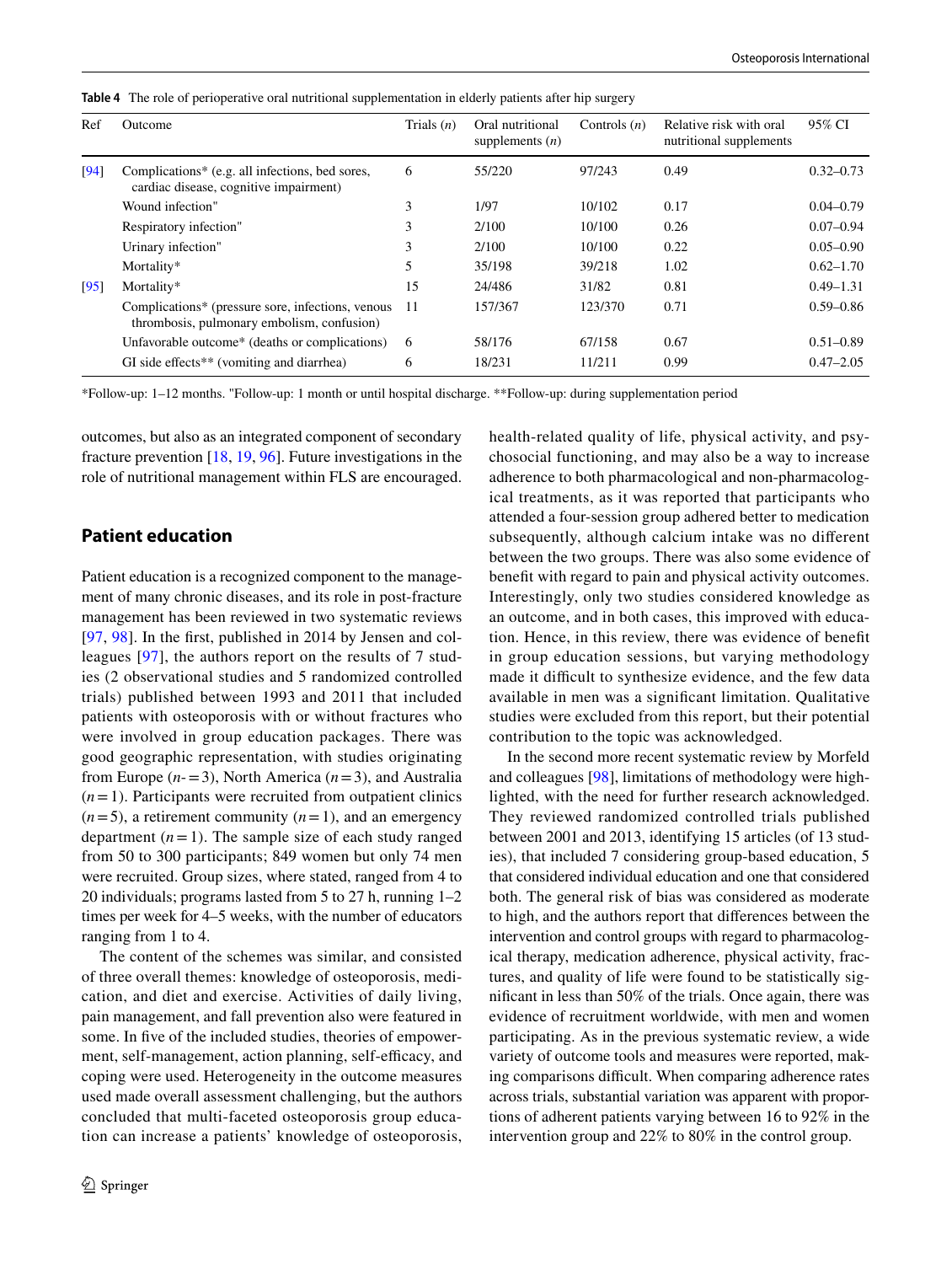<span id="page-9-0"></span>

| Table 4 The role of perioperative oral nutritional supplementation in elderly patients after hip surgery |  |
|----------------------------------------------------------------------------------------------------------|--|
|----------------------------------------------------------------------------------------------------------|--|

| Ref  | Outcome                                                                                         | Trials $(n)$ | Oral nutritional<br>supplements $(n)$ | Controls $(n)$ | Relative risk with oral<br>nutritional supplements | 95% CI        |
|------|-------------------------------------------------------------------------------------------------|--------------|---------------------------------------|----------------|----------------------------------------------------|---------------|
| [94] | Complications* (e.g. all infections, bed sores,<br>cardiac disease, cognitive impairment)       | 6            | 55/220                                | 97/243         | 0.49                                               | $0.32 - 0.73$ |
|      | Wound infection"                                                                                | 3            | 1/97                                  | 10/102         | 0.17                                               | $0.04 - 0.79$ |
|      | Respiratory infection"                                                                          | 3            | 2/100                                 | 10/100         | 0.26                                               | $0.07 - 0.94$ |
|      | Urinary infection"                                                                              | 3            | 2/100                                 | 10/100         | 0.22                                               | $0.05 - 0.90$ |
|      | Mortality*                                                                                      | 5            | 35/198                                | 39/218         | 1.02                                               | $0.62 - 1.70$ |
| [95] | Mortality*                                                                                      | 15           | 24/486                                | 31/82          | 0.81                                               | $0.49 - 1.31$ |
|      | Complications* (pressure sore, infections, venous<br>thrombosis, pulmonary embolism, confusion) | 11           | 157/367                               | 123/370        | 0.71                                               | $0.59 - 0.86$ |
|      | Unfavorable outcome* (deaths or complications)                                                  | -6           | 58/176                                | 67/158         | 0.67                                               | $0.51 - 0.89$ |
|      | GI side effects <sup>**</sup> (vomiting and diarrhea)                                           | 6            | 18/231                                | 11/211         | 0.99                                               | $0.47 - 2.05$ |

\*Follow-up: 1–12 months. "Follow-up: 1 month or until hospital discharge. \*\*Follow-up: during supplementation period

outcomes, but also as an integrated component of secondary fracture prevention [[18,](#page-11-14) [19,](#page-11-15) [96\]](#page-13-26). Future investigations in the role of nutritional management within FLS are encouraged.

# **Patient education**

Patient education is a recognized component to the management of many chronic diseases, and its role in post-fracture management has been reviewed in two systematic reviews [\[97,](#page-13-27) [98](#page-13-28)]. In the frst, published in 2014 by Jensen and colleagues [[97](#page-13-27)], the authors report on the results of 7 studies (2 observational studies and 5 randomized controlled trials) published between 1993 and 2011 that included patients with osteoporosis with or without fractures who were involved in group education packages. There was good geographic representation, with studies originating from Europe  $(n=3)$ , North America  $(n=3)$ , and Australia  $(n=1)$ . Participants were recruited from outpatient clinics  $(n=5)$ , a retirement community  $(n=1)$ , and an emergency department  $(n=1)$ . The sample size of each study ranged from 50 to 300 participants; 849 women but only 74 men were recruited. Group sizes, where stated, ranged from 4 to 20 individuals; programs lasted from 5 to 27 h, running 1–2 times per week for 4–5 weeks, with the number of educators ranging from 1 to 4.

The content of the schemes was similar, and consisted of three overall themes: knowledge of osteoporosis, medication, and diet and exercise. Activities of daily living, pain management, and fall prevention also were featured in some. In five of the included studies, theories of empowerment, self-management, action planning, self-efficacy, and coping were used. Heterogeneity in the outcome measures used made overall assessment challenging, but the authors concluded that multi-faceted osteoporosis group education can increase a patients' knowledge of osteoporosis, health-related quality of life, physical activity, and psychosocial functioning, and may also be a way to increase adherence to both pharmacological and non-pharmacological treatments, as it was reported that participants who attended a four-session group adhered better to medication subsequently, although calcium intake was no diferent between the two groups. There was also some evidence of beneft with regard to pain and physical activity outcomes. Interestingly, only two studies considered knowledge as an outcome, and in both cases, this improved with education. Hence, in this review, there was evidence of beneft in group education sessions, but varying methodology made it difficult to synthesize evidence, and the few data available in men was a signifcant limitation. Qualitative studies were excluded from this report, but their potential contribution to the topic was acknowledged.

In the second more recent systematic review by Morfeld and colleagues [\[98](#page-13-28)], limitations of methodology were highlighted, with the need for further research acknowledged. They reviewed randomized controlled trials published between 2001 and 2013, identifying 15 articles (of 13 studies), that included 7 considering group-based education, 5 that considered individual education and one that considered both. The general risk of bias was considered as moderate to high, and the authors report that diferences between the intervention and control groups with regard to pharmacological therapy, medication adherence, physical activity, fractures, and quality of life were found to be statistically signifcant in less than 50% of the trials. Once again, there was evidence of recruitment worldwide, with men and women participating. As in the previous systematic review, a wide variety of outcome tools and measures were reported, making comparisons difficult. When comparing adherence rates across trials, substantial variation was apparent with proportions of adherent patients varying between 16 to 92% in the intervention group and 22% to 80% in the control group.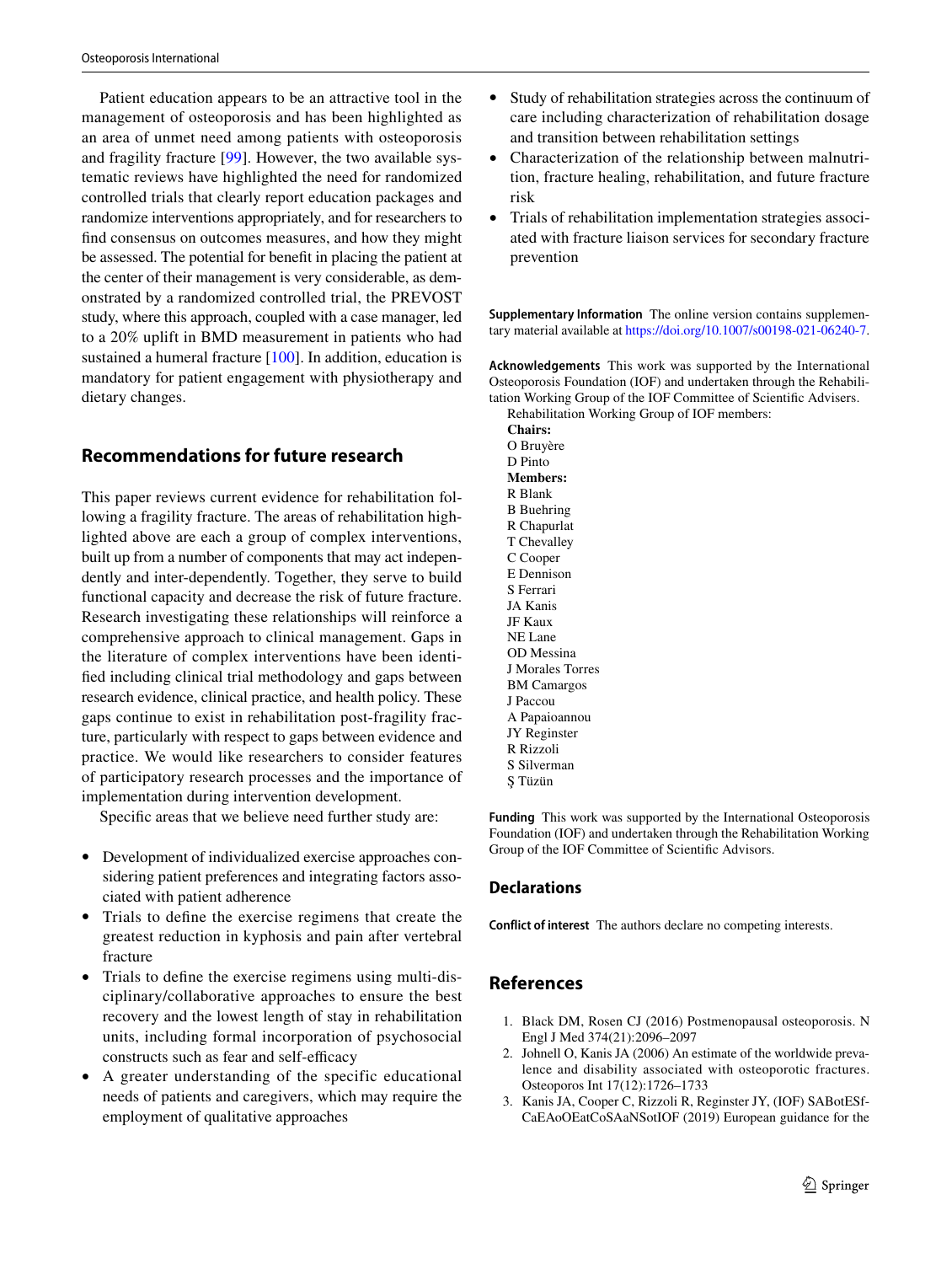Patient education appears to be an attractive tool in the management of osteoporosis and has been highlighted as an area of unmet need among patients with osteoporosis and fragility fracture [\[99](#page-13-29)]. However, the two available systematic reviews have highlighted the need for randomized controlled trials that clearly report education packages and randomize interventions appropriately, and for researchers to fnd consensus on outcomes measures, and how they might be assessed. The potential for beneft in placing the patient at the center of their management is very considerable, as demonstrated by a randomized controlled trial, the PREVOST study, where this approach, coupled with a case manager, led to a 20% uplift in BMD measurement in patients who had sustained a humeral fracture [\[100\]](#page-13-30). In addition, education is mandatory for patient engagement with physiotherapy and dietary changes.

# **Recommendations for future research**

This paper reviews current evidence for rehabilitation following a fragility fracture. The areas of rehabilitation highlighted above are each a group of complex interventions, built up from a number of components that may act independently and inter-dependently. Together, they serve to build functional capacity and decrease the risk of future fracture. Research investigating these relationships will reinforce a comprehensive approach to clinical management. Gaps in the literature of complex interventions have been identifed including clinical trial methodology and gaps between research evidence, clinical practice, and health policy. These gaps continue to exist in rehabilitation post-fragility fracture, particularly with respect to gaps between evidence and practice. We would like researchers to consider features of participatory research processes and the importance of implementation during intervention development.

Specifc areas that we believe need further study are:

- Development of individualized exercise approaches considering patient preferences and integrating factors associated with patient adherence
- Trials to defne the exercise regimens that create the greatest reduction in kyphosis and pain after vertebral fracture
- Trials to defne the exercise regimens using multi-disciplinary/collaborative approaches to ensure the best recovery and the lowest length of stay in rehabilitation units, including formal incorporation of psychosocial constructs such as fear and self-efficacy
- A greater understanding of the specific educational needs of patients and caregivers, which may require the employment of qualitative approaches
- Study of rehabilitation strategies across the continuum of care including characterization of rehabilitation dosage and transition between rehabilitation settings
- Characterization of the relationship between malnutrition, fracture healing, rehabilitation, and future fracture risk
- Trials of rehabilitation implementation strategies associated with fracture liaison services for secondary fracture prevention

**Supplementary Information** The online version contains supplementary material available at<https://doi.org/10.1007/s00198-021-06240-7>.

**Acknowledgements** This work was supported by the International Osteoporosis Foundation (IOF) and undertaken through the Rehabilitation Working Group of the IOF Committee of Scientifc Advisers. Rehabilitation Working Group of IOF members:

**Chairs:** O Bruyère D Pinto **Members:** R Blank B Buehring R Chapurlat T Chevalley C Cooper E Dennison S Ferrari JA Kanis JF Kaux NE Lane OD Messina J Morales Torres BM Camargos J Paccou A Papaioannou JY Reginster R Rizzoli S Silverman Ş Tüzün

**Funding** This work was supported by the International Osteoporosis Foundation (IOF) and undertaken through the Rehabilitation Working Group of the IOF Committee of Scientifc Advisors.

## **Declarations**

**Conflict of interest** The authors declare no competing interests.

# **References**

- <span id="page-10-0"></span>1. Black DM, Rosen CJ (2016) Postmenopausal osteoporosis. N Engl J Med 374(21):2096–2097
- <span id="page-10-1"></span>2. Johnell O, Kanis JA (2006) An estimate of the worldwide prevalence and disability associated with osteoporotic fractures. Osteoporos Int 17(12):1726–1733
- <span id="page-10-2"></span>3. Kanis JA, Cooper C, Rizzoli R, Reginster JY, (IOF) SABotESf-CaEAoOEatCoSAaNSotIOF (2019) European guidance for the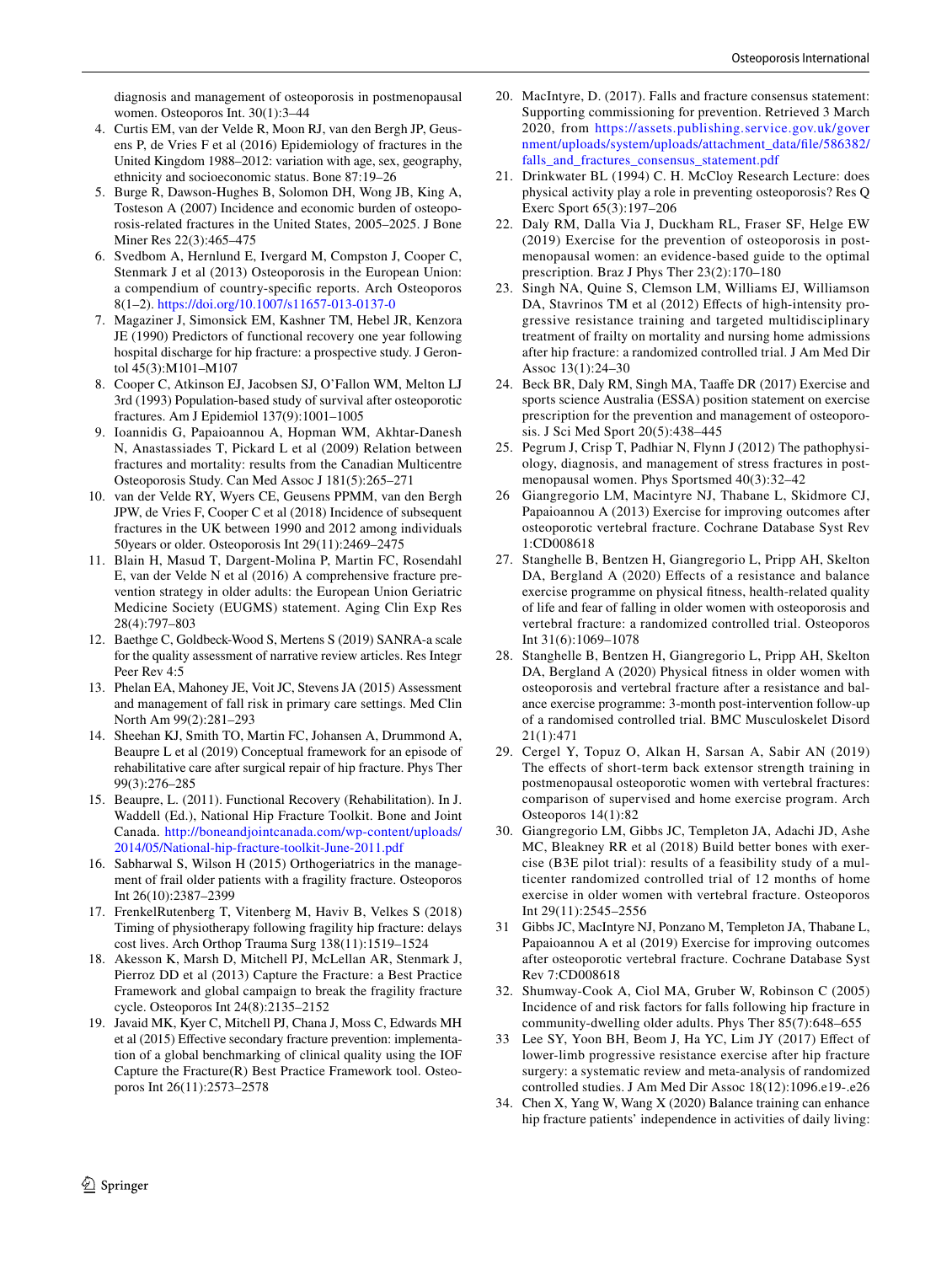diagnosis and management of osteoporosis in postmenopausal women. Osteoporos Int. 30(1):3–44

- <span id="page-11-0"></span>4. Curtis EM, van der Velde R, Moon RJ, van den Bergh JP, Geusens P, de Vries F et al (2016) Epidemiology of fractures in the United Kingdom 1988–2012: variation with age, sex, geography, ethnicity and socioeconomic status. Bone 87:19–26
- <span id="page-11-1"></span>5. Burge R, Dawson-Hughes B, Solomon DH, Wong JB, King A, Tosteson A (2007) Incidence and economic burden of osteoporosis-related fractures in the United States, 2005–2025. J Bone Miner Res 22(3):465–475
- <span id="page-11-2"></span>6. Svedbom A, Hernlund E, Ivergard M, Compston J, Cooper C, Stenmark J et al (2013) Osteoporosis in the European Union: a compendium of country-specifc reports. Arch Osteoporos 8(1–2). <https://doi.org/10.1007/s11657-013-0137-0>
- <span id="page-11-3"></span>7. Magaziner J, Simonsick EM, Kashner TM, Hebel JR, Kenzora JE (1990) Predictors of functional recovery one year following hospital discharge for hip fracture: a prospective study. J Gerontol 45(3):M101–M107
- <span id="page-11-4"></span>8. Cooper C, Atkinson EJ, Jacobsen SJ, O'Fallon WM, Melton LJ 3rd (1993) Population-based study of survival after osteoporotic fractures. Am J Epidemiol 137(9):1001–1005
- <span id="page-11-5"></span>9. Ioannidis G, Papaioannou A, Hopman WM, Akhtar-Danesh N, Anastassiades T, Pickard L et al (2009) Relation between fractures and mortality: results from the Canadian Multicentre Osteoporosis Study. Can Med Assoc J 181(5):265–271
- <span id="page-11-6"></span>10. van der Velde RY, Wyers CE, Geusens PPMM, van den Bergh JPW, de Vries F, Cooper C et al (2018) Incidence of subsequent fractures in the UK between 1990 and 2012 among individuals 50years or older. Osteoporosis Int 29(11):2469–2475
- <span id="page-11-7"></span>11. Blain H, Masud T, Dargent-Molina P, Martin FC, Rosendahl E, van der Velde N et al (2016) A comprehensive fracture prevention strategy in older adults: the European Union Geriatric Medicine Society (EUGMS) statement. Aging Clin Exp Res 28(4):797–803
- <span id="page-11-8"></span>12. Baethge C, Goldbeck-Wood S, Mertens S (2019) SANRA-a scale for the quality assessment of narrative review articles. Res Integr Peer Rev 4:5
- <span id="page-11-9"></span>13. Phelan EA, Mahoney JE, Voit JC, Stevens JA (2015) Assessment and management of fall risk in primary care settings. Med Clin North Am 99(2):281–293
- <span id="page-11-10"></span>14. Sheehan KJ, Smith TO, Martin FC, Johansen A, Drummond A, Beaupre L et al (2019) Conceptual framework for an episode of rehabilitative care after surgical repair of hip fracture. Phys Ther 99(3):276–285
- <span id="page-11-11"></span>15. Beaupre, L. (2011). Functional Recovery (Rehabilitation). In J. Waddell (Ed.), National Hip Fracture Toolkit. Bone and Joint Canada. [http://boneandjointcanada.com/wp-content/uploads/](http://boneandjointcanada.com/wp-content/uploads/2014/05/National-hip-fracture-toolkit-June-2011.pdf) [2014/05/National-hip-fracture-toolkit-June-2011.pdf](http://boneandjointcanada.com/wp-content/uploads/2014/05/National-hip-fracture-toolkit-June-2011.pdf)
- <span id="page-11-12"></span>16. Sabharwal S, Wilson H (2015) Orthogeriatrics in the management of frail older patients with a fragility fracture. Osteoporos Int 26(10):2387–2399
- <span id="page-11-13"></span>17. FrenkelRutenberg T, Vitenberg M, Haviv B, Velkes S (2018) Timing of physiotherapy following fragility hip fracture: delays cost lives. Arch Orthop Trauma Surg 138(11):1519–1524
- <span id="page-11-14"></span>18. Akesson K, Marsh D, Mitchell PJ, McLellan AR, Stenmark J, Pierroz DD et al (2013) Capture the Fracture: a Best Practice Framework and global campaign to break the fragility fracture cycle. Osteoporos Int 24(8):2135–2152
- <span id="page-11-15"></span>19. Javaid MK, Kyer C, Mitchell PJ, Chana J, Moss C, Edwards MH et al (2015) Efective secondary fracture prevention: implementation of a global benchmarking of clinical quality using the IOF Capture the Fracture(R) Best Practice Framework tool. Osteoporos Int 26(11):2573–2578
- <span id="page-11-16"></span>20. MacIntyre, D. (2017). Falls and fracture consensus statement: Supporting commissioning for prevention. Retrieved 3 March 2020, from [https://assets.publishing.service.gov.uk/gover](https://assets.publishing.service.gov.uk/government/uploads/system/uploads/attachment_data/file/586382/falls_and_fractures_consensus_statement.pdf) [nment/uploads/system/uploads/attachment\\_data/fle/586382/](https://assets.publishing.service.gov.uk/government/uploads/system/uploads/attachment_data/file/586382/falls_and_fractures_consensus_statement.pdf) [falls\\_and\\_fractures\\_consensus\\_statement.pdf](https://assets.publishing.service.gov.uk/government/uploads/system/uploads/attachment_data/file/586382/falls_and_fractures_consensus_statement.pdf)
- <span id="page-11-17"></span>21. Drinkwater BL (1994) C. H. McCloy Research Lecture: does physical activity play a role in preventing osteoporosis? Res Q Exerc Sport 65(3):197–206
- <span id="page-11-18"></span>22. Daly RM, Dalla Via J, Duckham RL, Fraser SF, Helge EW (2019) Exercise for the prevention of osteoporosis in postmenopausal women: an evidence-based guide to the optimal prescription. Braz J Phys Ther 23(2):170–180
- <span id="page-11-19"></span>23. Singh NA, Quine S, Clemson LM, Williams EJ, Williamson DA, Stavrinos TM et al (2012) Effects of high-intensity progressive resistance training and targeted multidisciplinary treatment of frailty on mortality and nursing home admissions after hip fracture: a randomized controlled trial. J Am Med Dir Assoc 13(1):24–30
- <span id="page-11-20"></span>24. Beck BR, Daly RM, Singh MA, Taafe DR (2017) Exercise and sports science Australia (ESSA) position statement on exercise prescription for the prevention and management of osteoporosis. J Sci Med Sport 20(5):438–445
- <span id="page-11-21"></span>25. Pegrum J, Crisp T, Padhiar N, Flynn J (2012) The pathophysiology, diagnosis, and management of stress fractures in postmenopausal women. Phys Sportsmed 40(3):32–42
- <span id="page-11-22"></span>26 Giangregorio LM, Macintyre NJ, Thabane L, Skidmore CJ, Papaioannou A (2013) Exercise for improving outcomes after osteoporotic vertebral fracture. Cochrane Database Syst Rev 1:CD008618
- <span id="page-11-23"></span>27. Stanghelle B, Bentzen H, Giangregorio L, Pripp AH, Skelton DA, Bergland A (2020) Effects of a resistance and balance exercise programme on physical ftness, health-related quality of life and fear of falling in older women with osteoporosis and vertebral fracture: a randomized controlled trial. Osteoporos Int 31(6):1069–1078
- <span id="page-11-24"></span>28. Stanghelle B, Bentzen H, Giangregorio L, Pripp AH, Skelton DA, Bergland A (2020) Physical ftness in older women with osteoporosis and vertebral fracture after a resistance and balance exercise programme: 3-month post-intervention follow-up of a randomised controlled trial. BMC Musculoskelet Disord 21(1):471
- <span id="page-11-25"></span>29. Cergel Y, Topuz O, Alkan H, Sarsan A, Sabir AN (2019) The effects of short-term back extensor strength training in postmenopausal osteoporotic women with vertebral fractures: comparison of supervised and home exercise program. Arch Osteoporos 14(1):82
- <span id="page-11-26"></span>30. Giangregorio LM, Gibbs JC, Templeton JA, Adachi JD, Ashe MC, Bleakney RR et al (2018) Build better bones with exercise (B3E pilot trial): results of a feasibility study of a multicenter randomized controlled trial of 12 months of home exercise in older women with vertebral fracture. Osteoporos Int 29(11):2545–2556
- <span id="page-11-27"></span>31 Gibbs JC, MacIntyre NJ, Ponzano M, Templeton JA, Thabane L, Papaioannou A et al (2019) Exercise for improving outcomes after osteoporotic vertebral fracture. Cochrane Database Syst Rev 7:CD008618
- <span id="page-11-28"></span>32. Shumway-Cook A, Ciol MA, Gruber W, Robinson C (2005) Incidence of and risk factors for falls following hip fracture in community-dwelling older adults. Phys Ther 85(7):648–655
- <span id="page-11-29"></span>33 Lee SY, Yoon BH, Beom J, Ha YC, Lim JY (2017) Efect of lower-limb progressive resistance exercise after hip fracture surgery: a systematic review and meta-analysis of randomized controlled studies. J Am Med Dir Assoc 18(12):1096.e19-.e26
- <span id="page-11-30"></span>34. Chen X, Yang W, Wang X (2020) Balance training can enhance hip fracture patients' independence in activities of daily living: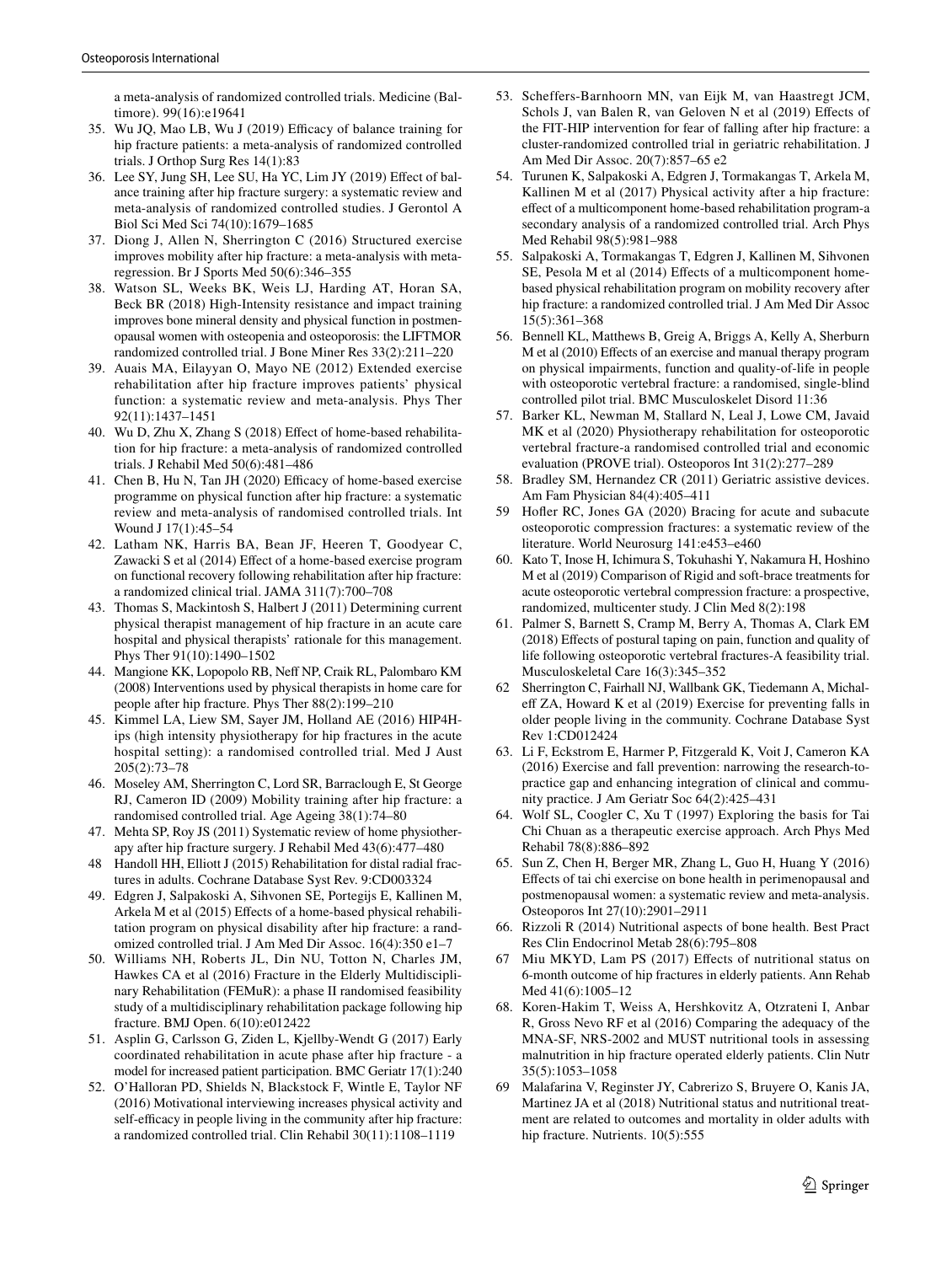a meta-analysis of randomized controlled trials. Medicine (Baltimore). 99(16):e19641

- <span id="page-12-2"></span>35. Wu JQ, Mao LB, Wu J (2019) Efficacy of balance training for hip fracture patients: a meta-analysis of randomized controlled trials. J Orthop Surg Res 14(1):83
- <span id="page-12-0"></span>36. Lee SY, Jung SH, Lee SU, Ha YC, Lim JY (2019) Efect of balance training after hip fracture surgery: a systematic review and meta-analysis of randomized controlled studies. J Gerontol A Biol Sci Med Sci 74(10):1679–1685
- <span id="page-12-1"></span>37. Diong J, Allen N, Sherrington C (2016) Structured exercise improves mobility after hip fracture: a meta-analysis with metaregression. Br J Sports Med 50(6):346–355
- <span id="page-12-3"></span>38. Watson SL, Weeks BK, Weis LJ, Harding AT, Horan SA, Beck BR (2018) High-Intensity resistance and impact training improves bone mineral density and physical function in postmenopausal women with osteopenia and osteoporosis: the LIFTMOR randomized controlled trial. J Bone Miner Res 33(2):211–220
- <span id="page-12-4"></span>39. Auais MA, Eilayyan O, Mayo NE (2012) Extended exercise rehabilitation after hip fracture improves patients' physical function: a systematic review and meta-analysis. Phys Ther 92(11):1437–1451
- <span id="page-12-5"></span>40. Wu D, Zhu X, Zhang S (2018) Efect of home-based rehabilitation for hip fracture: a meta-analysis of randomized controlled trials. J Rehabil Med 50(6):481–486
- <span id="page-12-6"></span>41. Chen B, Hu N, Tan JH (2020) Efficacy of home-based exercise programme on physical function after hip fracture: a systematic review and meta-analysis of randomised controlled trials. Int Wound J 17(1):45–54
- <span id="page-12-7"></span>42. Latham NK, Harris BA, Bean JF, Heeren T, Goodyear C, Zawacki S et al (2014) Effect of a home-based exercise program on functional recovery following rehabilitation after hip fracture: a randomized clinical trial. JAMA 311(7):700–708
- <span id="page-12-8"></span>43. Thomas S, Mackintosh S, Halbert J (2011) Determining current physical therapist management of hip fracture in an acute care hospital and physical therapists' rationale for this management. Phys Ther 91(10):1490–1502
- <span id="page-12-9"></span>44. Mangione KK, Lopopolo RB, Nef NP, Craik RL, Palombaro KM (2008) Interventions used by physical therapists in home care for people after hip fracture. Phys Ther 88(2):199–210
- <span id="page-12-10"></span>45. Kimmel LA, Liew SM, Sayer JM, Holland AE (2016) HIP4Hips (high intensity physiotherapy for hip fractures in the acute hospital setting): a randomised controlled trial. Med J Aust 205(2):73–78
- <span id="page-12-11"></span>46. Moseley AM, Sherrington C, Lord SR, Barraclough E, St George RJ, Cameron ID (2009) Mobility training after hip fracture: a randomised controlled trial. Age Ageing 38(1):74–80
- <span id="page-12-12"></span>47. Mehta SP, Roy JS (2011) Systematic review of home physiotherapy after hip fracture surgery. J Rehabil Med 43(6):477–480
- <span id="page-12-13"></span>48 Handoll HH, Elliott J (2015) Rehabilitation for distal radial fractures in adults. Cochrane Database Syst Rev. 9:CD003324
- <span id="page-12-14"></span>49. Edgren J, Salpakoski A, Sihvonen SE, Portegijs E, Kallinen M, Arkela M et al (2015) Efects of a home-based physical rehabilitation program on physical disability after hip fracture: a randomized controlled trial. J Am Med Dir Assoc. 16(4):350 e1–7
- <span id="page-12-15"></span>50. Williams NH, Roberts JL, Din NU, Totton N, Charles JM, Hawkes CA et al (2016) Fracture in the Elderly Multidisciplinary Rehabilitation (FEMuR): a phase II randomised feasibility study of a multidisciplinary rehabilitation package following hip fracture. BMJ Open. 6(10):e012422
- <span id="page-12-16"></span>51. Asplin G, Carlsson G, Ziden L, Kjellby-Wendt G (2017) Early coordinated rehabilitation in acute phase after hip fracture - a model for increased patient participation. BMC Geriatr 17(1):240
- <span id="page-12-17"></span>52. O'Halloran PD, Shields N, Blackstock F, Wintle E, Taylor NF (2016) Motivational interviewing increases physical activity and self-efficacy in people living in the community after hip fracture: a randomized controlled trial. Clin Rehabil 30(11):1108–1119
- <span id="page-12-18"></span>53. Scheffers-Barnhoorn MN, van Eijk M, van Haastregt JCM, Schols J, van Balen R, van Geloven N et al (2019) Efects of the FIT-HIP intervention for fear of falling after hip fracture: a cluster-randomized controlled trial in geriatric rehabilitation. J Am Med Dir Assoc. 20(7):857–65 e2
- <span id="page-12-19"></span>54. Turunen K, Salpakoski A, Edgren J, Tormakangas T, Arkela M, Kallinen M et al (2017) Physical activity after a hip fracture: efect of a multicomponent home-based rehabilitation program-a secondary analysis of a randomized controlled trial. Arch Phys Med Rehabil 98(5):981–988
- <span id="page-12-20"></span>55. Salpakoski A, Tormakangas T, Edgren J, Kallinen M, Sihvonen SE, Pesola M et al (2014) Effects of a multicomponent homebased physical rehabilitation program on mobility recovery after hip fracture: a randomized controlled trial. J Am Med Dir Assoc 15(5):361–368
- <span id="page-12-21"></span>56. Bennell KL, Matthews B, Greig A, Briggs A, Kelly A, Sherburn M et al (2010) Effects of an exercise and manual therapy program on physical impairments, function and quality-of-life in people with osteoporotic vertebral fracture: a randomised, single-blind controlled pilot trial. BMC Musculoskelet Disord 11:36
- <span id="page-12-22"></span>57. Barker KL, Newman M, Stallard N, Leal J, Lowe CM, Javaid MK et al (2020) Physiotherapy rehabilitation for osteoporotic vertebral fracture-a randomised controlled trial and economic evaluation (PROVE trial). Osteoporos Int 31(2):277–289
- <span id="page-12-23"></span>58. Bradley SM, Hernandez CR (2011) Geriatric assistive devices. Am Fam Physician 84(4):405–411
- <span id="page-12-24"></span>59 Hofer RC, Jones GA (2020) Bracing for acute and subacute osteoporotic compression fractures: a systematic review of the literature. World Neurosurg 141:e453–e460
- <span id="page-12-25"></span>60. Kato T, Inose H, Ichimura S, Tokuhashi Y, Nakamura H, Hoshino M et al (2019) Comparison of Rigid and soft-brace treatments for acute osteoporotic vertebral compression fracture: a prospective, randomized, multicenter study. J Clin Med 8(2):198
- <span id="page-12-26"></span>61. Palmer S, Barnett S, Cramp M, Berry A, Thomas A, Clark EM (2018) Efects of postural taping on pain, function and quality of life following osteoporotic vertebral fractures-A feasibility trial. Musculoskeletal Care 16(3):345–352
- <span id="page-12-27"></span>62 Sherrington C, Fairhall NJ, Wallbank GK, Tiedemann A, Michalef ZA, Howard K et al (2019) Exercise for preventing falls in older people living in the community. Cochrane Database Syst Rev 1:CD012424
- <span id="page-12-28"></span>63. Li F, Eckstrom E, Harmer P, Fitzgerald K, Voit J, Cameron KA (2016) Exercise and fall prevention: narrowing the research-topractice gap and enhancing integration of clinical and community practice. J Am Geriatr Soc 64(2):425–431
- <span id="page-12-29"></span>64. Wolf SL, Coogler C, Xu T (1997) Exploring the basis for Tai Chi Chuan as a therapeutic exercise approach. Arch Phys Med Rehabil 78(8):886–892
- <span id="page-12-30"></span>65. Sun Z, Chen H, Berger MR, Zhang L, Guo H, Huang Y (2016) Efects of tai chi exercise on bone health in perimenopausal and postmenopausal women: a systematic review and meta-analysis. Osteoporos Int 27(10):2901–2911
- <span id="page-12-31"></span>66. Rizzoli R (2014) Nutritional aspects of bone health. Best Pract Res Clin Endocrinol Metab 28(6):795–808
- <span id="page-12-32"></span>67 Miu MKYD, Lam PS (2017) Efects of nutritional status on 6-month outcome of hip fractures in elderly patients. Ann Rehab Med 41(6):1005–12
- <span id="page-12-33"></span>68. Koren-Hakim T, Weiss A, Hershkovitz A, Otzrateni I, Anbar R, Gross Nevo RF et al (2016) Comparing the adequacy of the MNA-SF, NRS-2002 and MUST nutritional tools in assessing malnutrition in hip fracture operated elderly patients. Clin Nutr 35(5):1053–1058
- <span id="page-12-34"></span>69 Malafarina V, Reginster JY, Cabrerizo S, Bruyere O, Kanis JA, Martinez JA et al (2018) Nutritional status and nutritional treatment are related to outcomes and mortality in older adults with hip fracture. Nutrients. 10(5):555